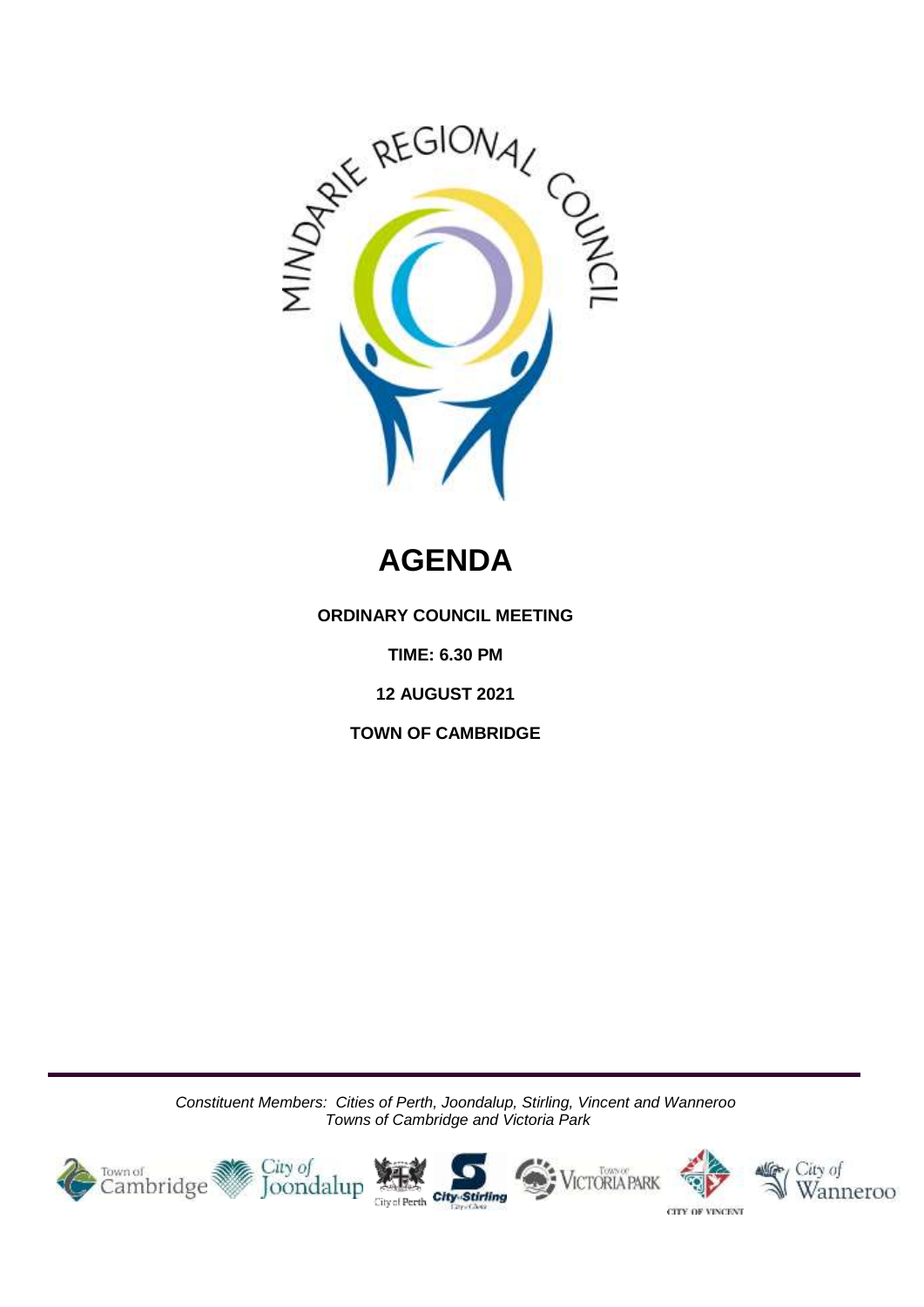

# **AGENDA**

**ORDINARY COUNCIL MEETING**

**TIME: 6.30 PM**

**12 AUGUST 2021**

**TOWN OF CAMBRIDGE**

*Constituent Members: Cities of Perth, Joondalup, Stirling, Vincent and Wanneroo Towns of Cambridge and Victoria Park*

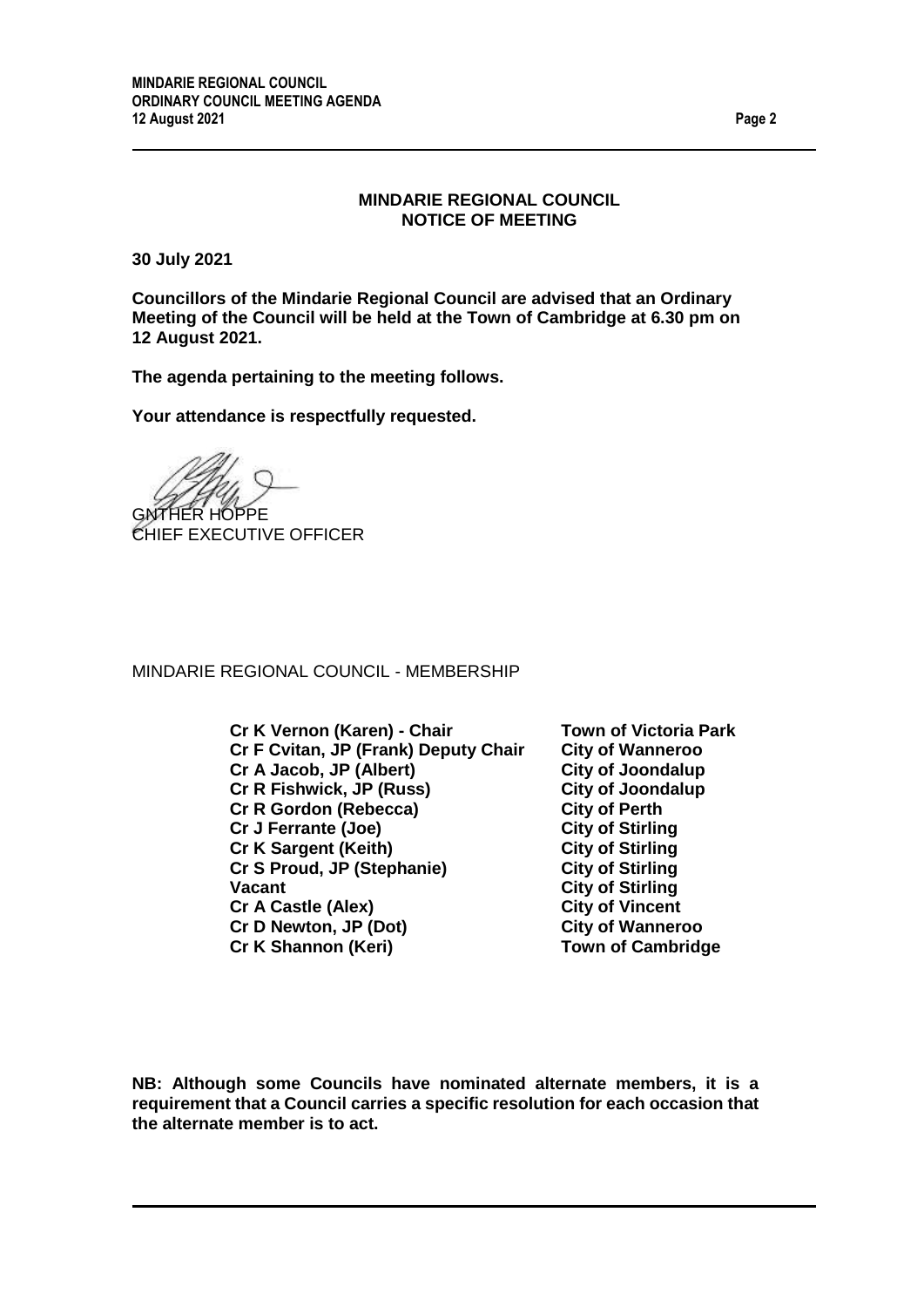#### **MINDARIE REGIONAL COUNCIL NOTICE OF MEETING**

**30 July 2021**

**Councillors of the Mindarie Regional Council are advised that an Ordinary Meeting of the Council will be held at the Town of Cambridge at 6.30 pm on 12 August 2021.**

**The agenda pertaining to the meeting follows.**

**Your attendance is respectfully requested.**

GNTHER HOPPE CHIEF EXECUTIVE OFFICER

MINDARIE REGIONAL COUNCIL - MEMBERSHIP

**Cr K Vernon (Karen) - Chair Town of Victoria Park Cr F Cvitan, JP (Frank) Deputy Chair City of Wanneroo Cr A Jacob, JP (Albert) City of Joondalup Cr R Fishwick, JP (Russ)** City of Joond<br>
Cr R Gordon (Rebecca) City of Perth **Cr R Gordon (Rebecca) City of Perth Cr J Ferrante (Joe) Cr K Sargent (Keith) City of Stirling Cr S Proud, JP (Stephanie) City of Stirling Vacant City of Stirling Cr A Castle (Alex) City of Vincent Cr D Newton, JP (Dot) City of Wanneroo Cr K Shannon (Keri) Town of Cambridge**

**NB: Although some Councils have nominated alternate members, it is a requirement that a Council carries a specific resolution for each occasion that the alternate member is to act.**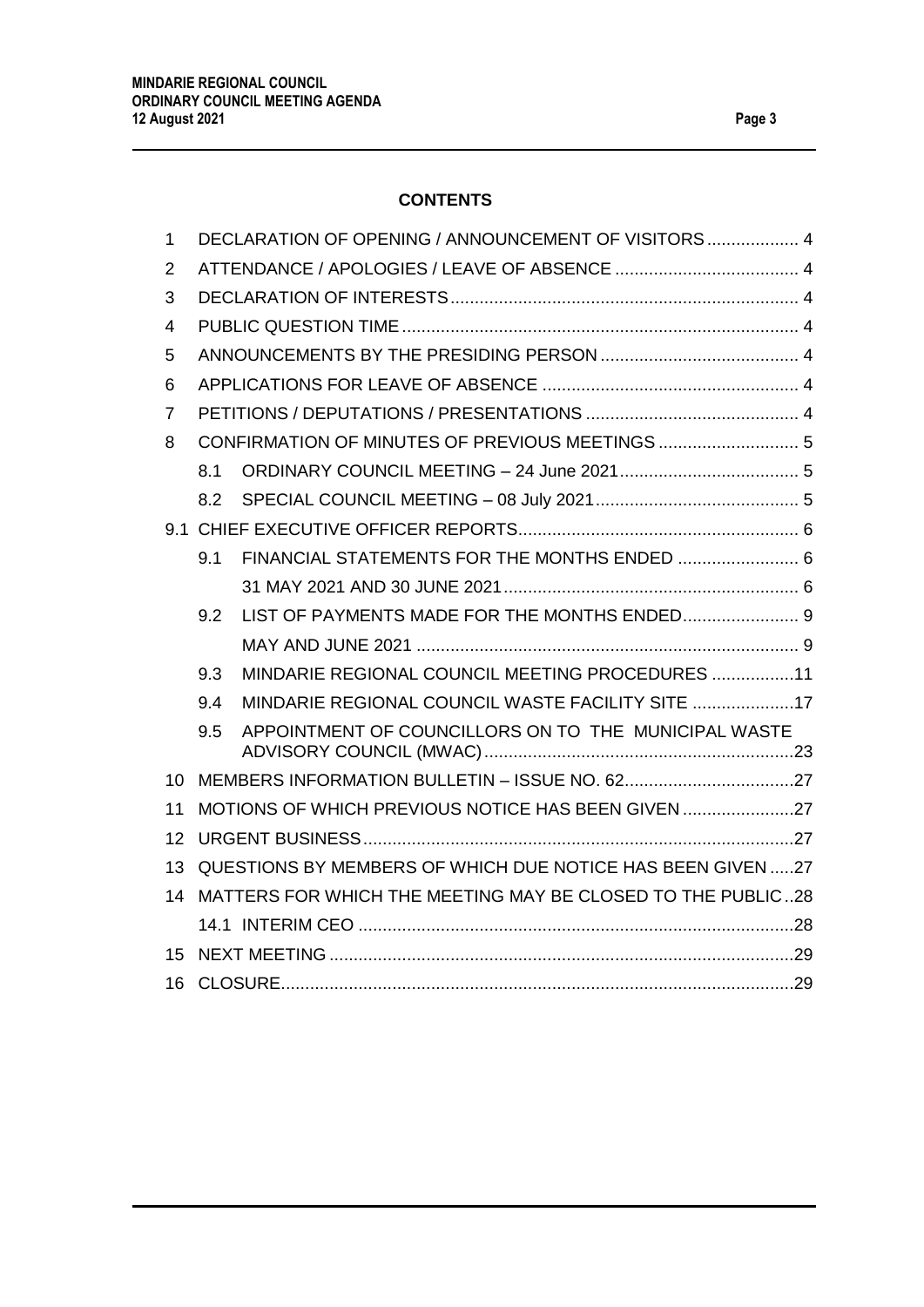# **CONTENTS**

| $\mathbf{1}$ | DECLARATION OF OPENING / ANNOUNCEMENT OF VISITORS  4        |                                                      |  |
|--------------|-------------------------------------------------------------|------------------------------------------------------|--|
| 2            |                                                             |                                                      |  |
| 3            |                                                             |                                                      |  |
| 4            |                                                             |                                                      |  |
| 5            |                                                             |                                                      |  |
| 6            |                                                             |                                                      |  |
| 7            |                                                             |                                                      |  |
| 8            |                                                             |                                                      |  |
|              | 8.1                                                         |                                                      |  |
|              | 8.2                                                         |                                                      |  |
|              |                                                             |                                                      |  |
|              | 9.1                                                         | FINANCIAL STATEMENTS FOR THE MONTHS ENDED  6         |  |
|              |                                                             |                                                      |  |
|              | 9.2                                                         |                                                      |  |
|              |                                                             |                                                      |  |
|              | 9.3                                                         | MINDARIE REGIONAL COUNCIL MEETING PROCEDURES 11      |  |
|              | 9.4                                                         | MINDARIE REGIONAL COUNCIL WASTE FACILITY SITE 17     |  |
|              | 9.5                                                         | APPOINTMENT OF COUNCILLORS ON TO THE MUNICIPAL WASTE |  |
| 10           |                                                             |                                                      |  |
| 11           |                                                             | MOTIONS OF WHICH PREVIOUS NOTICE HAS BEEN GIVEN 27   |  |
| 12           |                                                             |                                                      |  |
| 13           | QUESTIONS BY MEMBERS OF WHICH DUE NOTICE HAS BEEN GIVEN 27  |                                                      |  |
| 14           | MATTERS FOR WHICH THE MEETING MAY BE CLOSED TO THE PUBLIC28 |                                                      |  |
|              |                                                             |                                                      |  |
| 15           |                                                             |                                                      |  |
| 16           |                                                             |                                                      |  |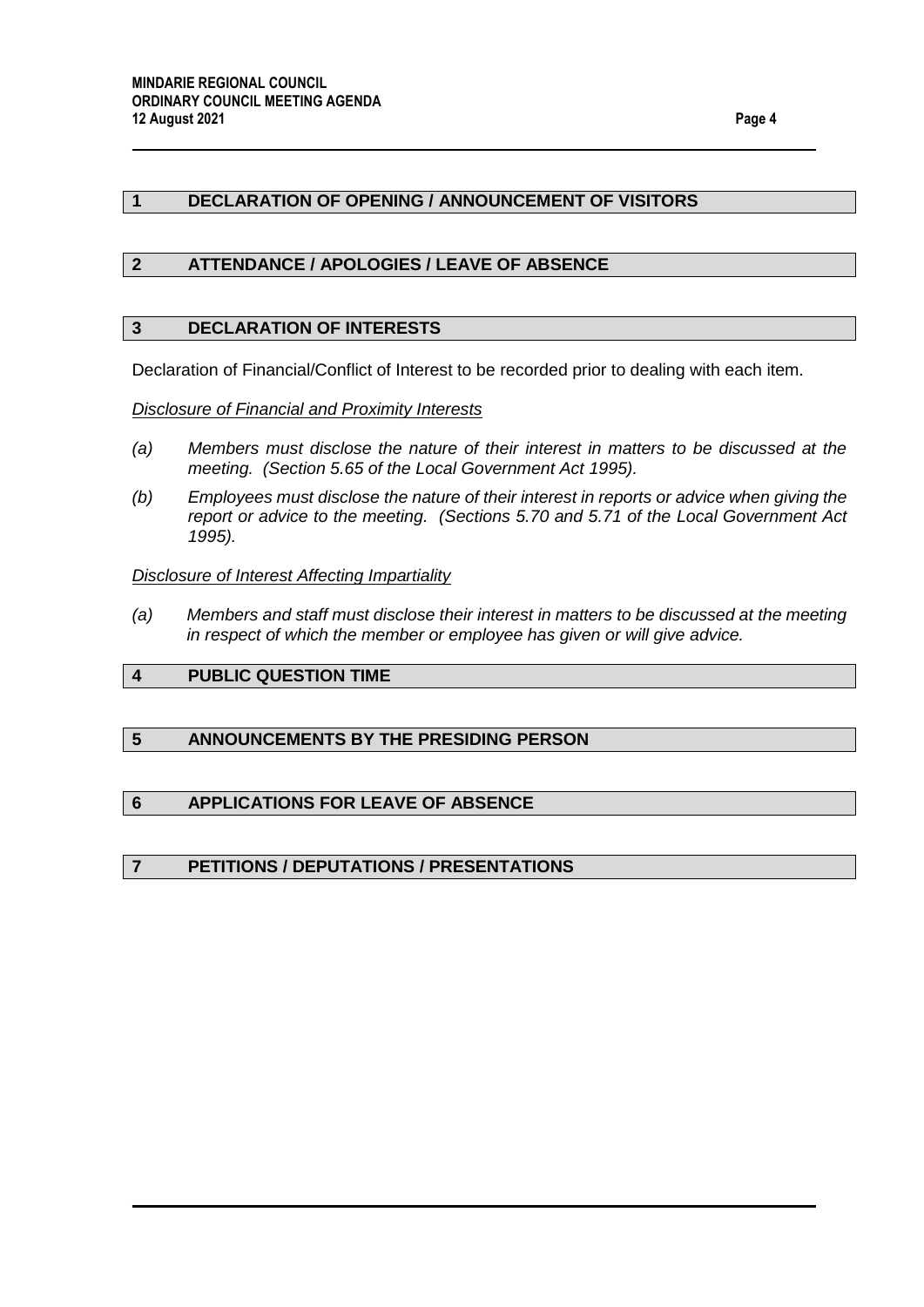#### <span id="page-3-0"></span>**1 DECLARATION OF OPENING / ANNOUNCEMENT OF VISITORS**

#### <span id="page-3-1"></span>**2 ATTENDANCE / APOLOGIES / LEAVE OF ABSENCE**

#### <span id="page-3-2"></span>**3 DECLARATION OF INTERESTS**

Declaration of Financial/Conflict of Interest to be recorded prior to dealing with each item.

#### *Disclosure of Financial and Proximity Interests*

- *(a) Members must disclose the nature of their interest in matters to be discussed at the meeting. (Section 5.65 of the Local Government Act 1995).*
- *(b) Employees must disclose the nature of their interest in reports or advice when giving the report or advice to the meeting. (Sections 5.70 and 5.71 of the Local Government Act 1995).*

#### *Disclosure of Interest Affecting Impartiality*

*(a) Members and staff must disclose their interest in matters to be discussed at the meeting in respect of which the member or employee has given or will give advice.*

#### <span id="page-3-3"></span>**4 PUBLIC QUESTION TIME**

#### <span id="page-3-4"></span>**5 ANNOUNCEMENTS BY THE PRESIDING PERSON**

#### <span id="page-3-5"></span>**6 APPLICATIONS FOR LEAVE OF ABSENCE**

#### <span id="page-3-6"></span>**7 PETITIONS / DEPUTATIONS / PRESENTATIONS**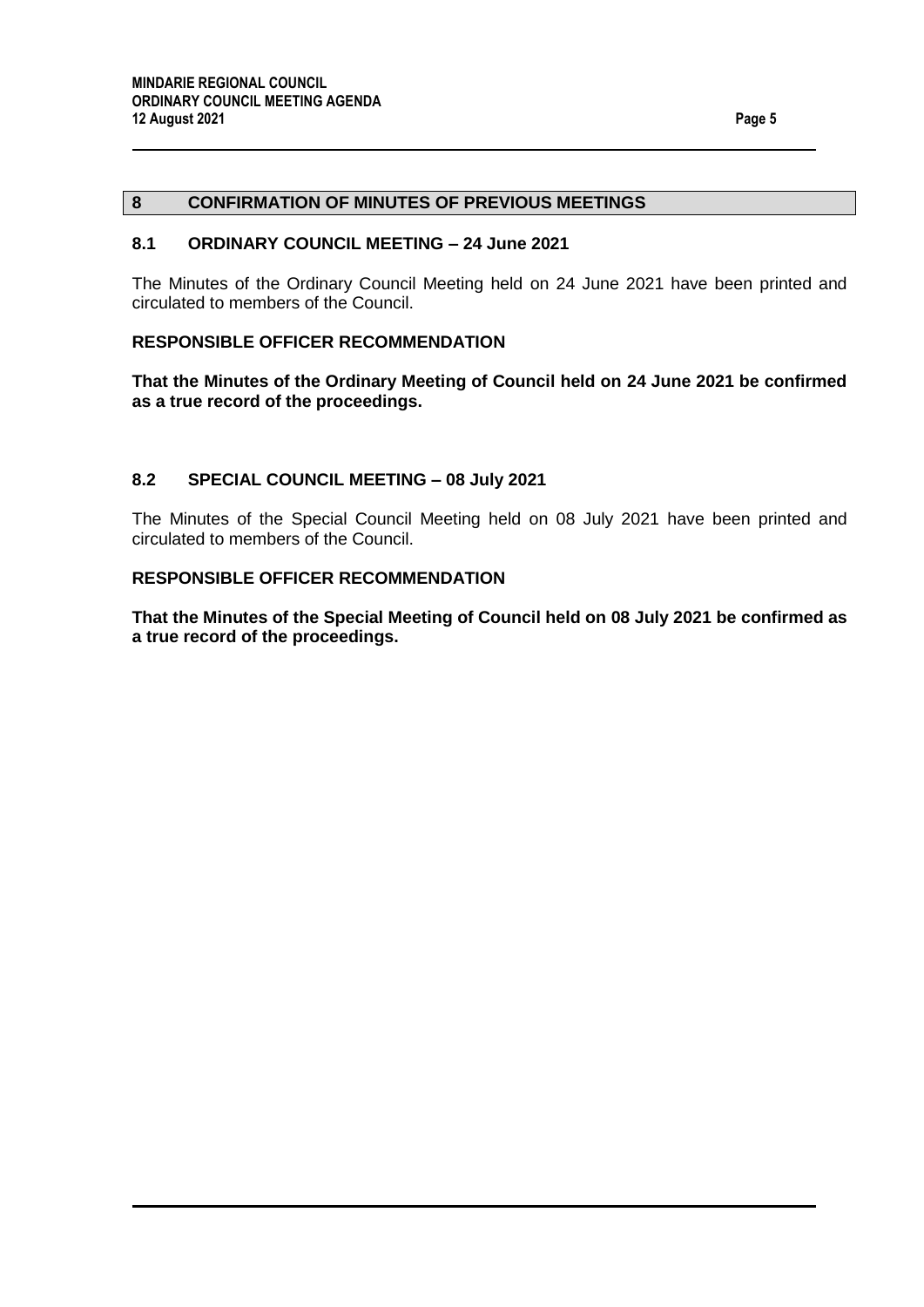#### <span id="page-4-1"></span><span id="page-4-0"></span>**8.1 ORDINARY COUNCIL MEETING – 24 June 2021**

The Minutes of the Ordinary Council Meeting held on 24 June 2021 have been printed and circulated to members of the Council.

#### **RESPONSIBLE OFFICER RECOMMENDATION**

**That the Minutes of the Ordinary Meeting of Council held on 24 June 2021 be confirmed as a true record of the proceedings.**

#### <span id="page-4-2"></span>**8.2 SPECIAL COUNCIL MEETING – 08 July 2021**

The Minutes of the Special Council Meeting held on 08 July 2021 have been printed and circulated to members of the Council.

#### **RESPONSIBLE OFFICER RECOMMENDATION**

**That the Minutes of the Special Meeting of Council held on 08 July 2021 be confirmed as a true record of the proceedings.**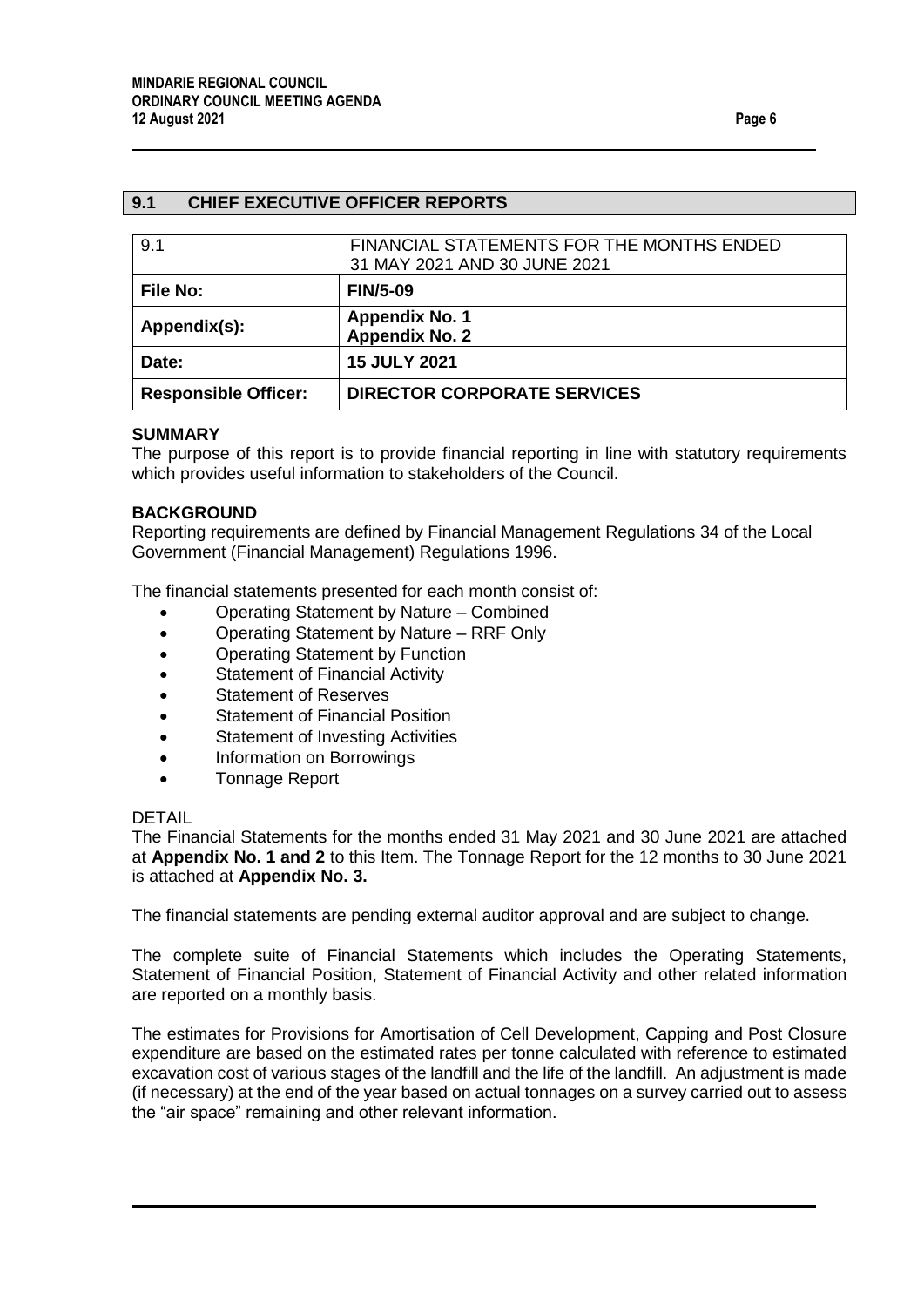#### <span id="page-5-0"></span>**9.1 CHIEF EXECUTIVE OFFICER REPORTS**

<span id="page-5-2"></span><span id="page-5-1"></span>

| 9.1                         | FINANCIAL STATEMENTS FOR THE MONTHS ENDED<br>31 MAY 2021 AND 30 JUNE 2021 |
|-----------------------------|---------------------------------------------------------------------------|
| <b>File No:</b>             | <b>FIN/5-09</b>                                                           |
| Appendix(s):                | <b>Appendix No. 1</b><br><b>Appendix No. 2</b>                            |
| Date:                       | <b>15 JULY 2021</b>                                                       |
| <b>Responsible Officer:</b> | <b>DIRECTOR CORPORATE SERVICES</b>                                        |

#### **SUMMARY**

The purpose of this report is to provide financial reporting in line with statutory requirements which provides useful information to stakeholders of the Council.

#### **BACKGROUND**

Reporting requirements are defined by Financial Management Regulations 34 of the Local Government (Financial Management) Regulations 1996.

The financial statements presented for each month consist of:

- Operating Statement by Nature Combined
- Operating Statement by Nature RRF Only
- Operating Statement by Function
- Statement of Financial Activity
- Statement of Reserves
- Statement of Financial Position
- Statement of Investing Activities
- Information on Borrowings
- Tonnage Report

#### DETAIL

The Financial Statements for the months ended 31 May 2021 and 30 June 2021 are attached at **Appendix No. 1 and 2** to this Item. The Tonnage Report for the 12 months to 30 June 2021 is attached at **Appendix No. 3.** 

The financial statements are pending external auditor approval and are subject to change.

The complete suite of Financial Statements which includes the Operating Statements, Statement of Financial Position, Statement of Financial Activity and other related information are reported on a monthly basis.

The estimates for Provisions for Amortisation of Cell Development, Capping and Post Closure expenditure are based on the estimated rates per tonne calculated with reference to estimated excavation cost of various stages of the landfill and the life of the landfill. An adjustment is made (if necessary) at the end of the year based on actual tonnages on a survey carried out to assess the "air space" remaining and other relevant information.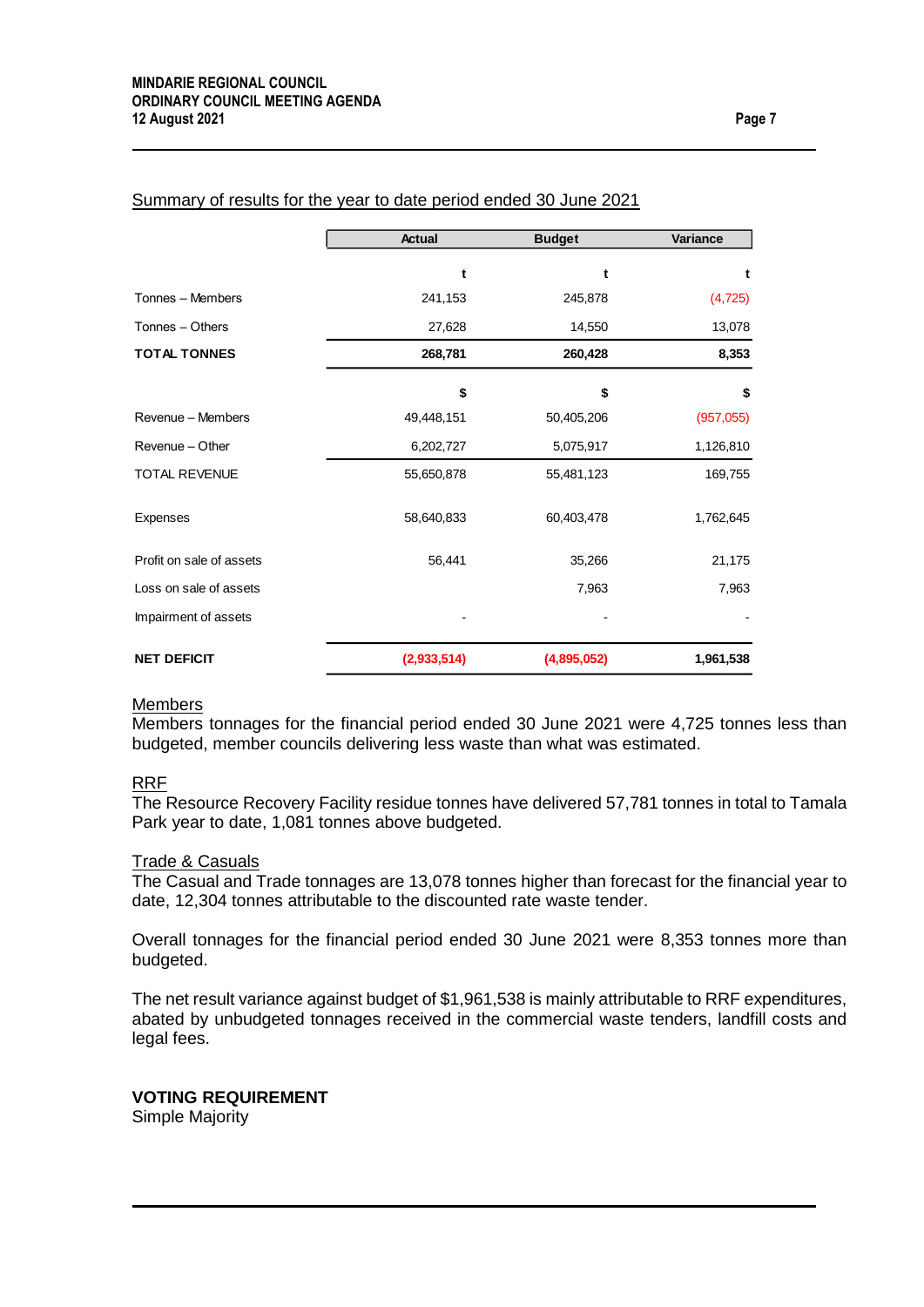|                          | <b>Actual</b> | <b>Budget</b> | Variance   |
|--------------------------|---------------|---------------|------------|
|                          |               |               |            |
|                          | t             | t             | t          |
| Tonnes - Members         | 241,153       | 245,878       | (4, 725)   |
| Tonnes - Others          | 27,628        | 14,550        | 13,078     |
| <b>TOTAL TONNES</b>      | 268,781       | 260,428       | 8,353      |
|                          | \$            | \$            | \$         |
| Revenue - Members        | 49,448,151    | 50,405,206    | (957, 055) |
| Revenue - Other          | 6,202,727     | 5,075,917     | 1,126,810  |
| <b>TOTAL REVENUE</b>     | 55,650,878    | 55,481,123    | 169,755    |
| Expenses                 | 58,640,833    | 60,403,478    | 1,762,645  |
| Profit on sale of assets | 56,441        | 35,266        | 21,175     |
| Loss on sale of assets   |               | 7,963         | 7,963      |
| Impairment of assets     |               |               |            |
| <b>NET DEFICIT</b>       | (2,933,514)   | (4,895,052)   | 1,961,538  |

#### Summary of results for the year to date period ended 30 June 2021

#### **Members**

Members tonnages for the financial period ended 30 June 2021 were 4,725 tonnes less than budgeted, member councils delivering less waste than what was estimated.

#### RRF

The Resource Recovery Facility residue tonnes have delivered 57,781 tonnes in total to Tamala Park year to date, 1,081 tonnes above budgeted.

#### <u>Trade & Casuals</u>

The Casual and Trade tonnages are 13,078 tonnes higher than forecast for the financial year to date, 12,304 tonnes attributable to the discounted rate waste tender.

Overall tonnages for the financial period ended 30 June 2021 were 8,353 tonnes more than budgeted.

The net result variance against budget of \$1,961,538 is mainly attributable to RRF expenditures, abated by unbudgeted tonnages received in the commercial waste tenders, landfill costs and legal fees.

#### **VOTING REQUIREMENT**

Simple Majority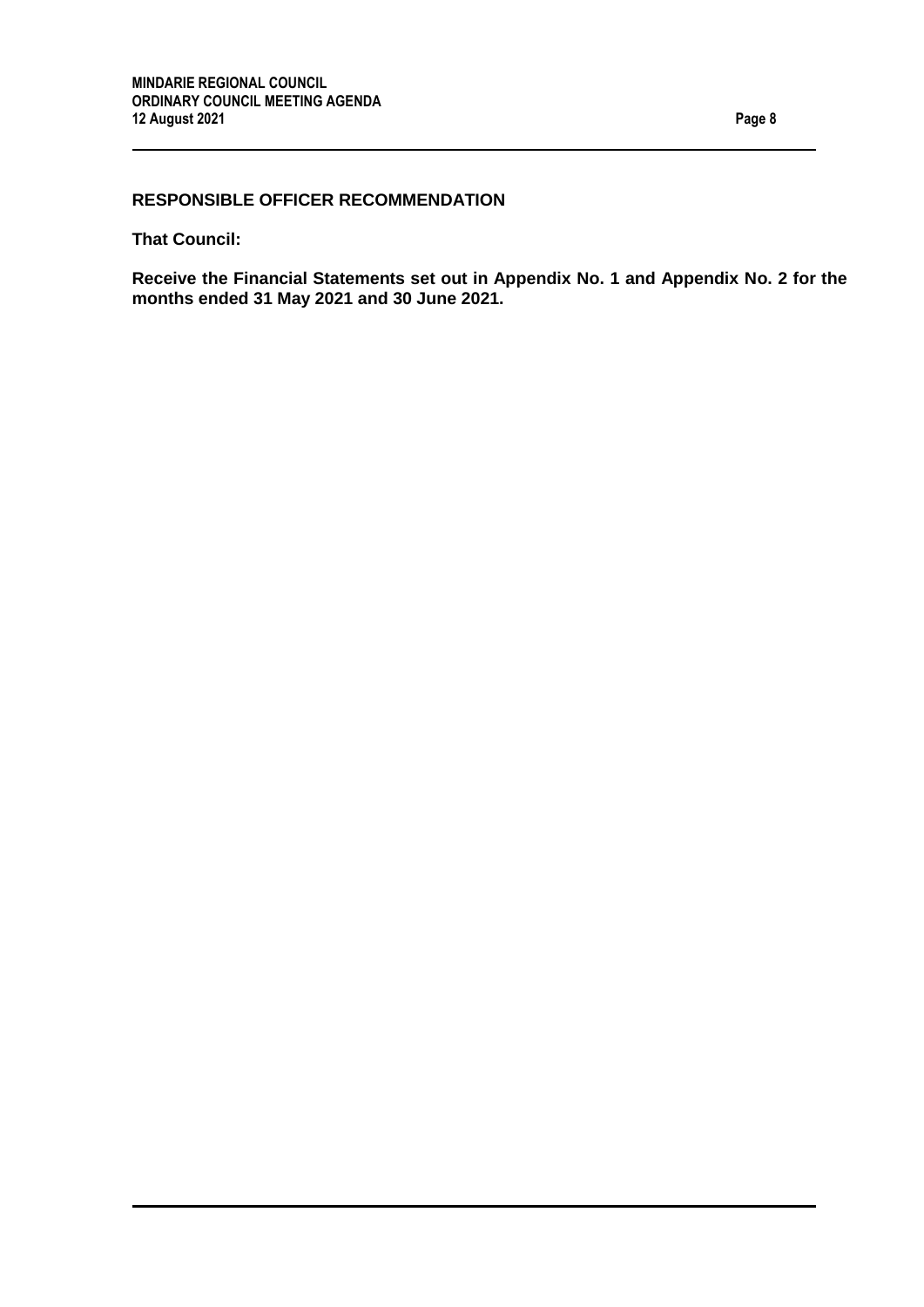# **RESPONSIBLE OFFICER RECOMMENDATION**

**That Council:**

**Receive the Financial Statements set out in Appendix No. 1 and Appendix No. 2 for the months ended 31 May 2021 and 30 June 2021.**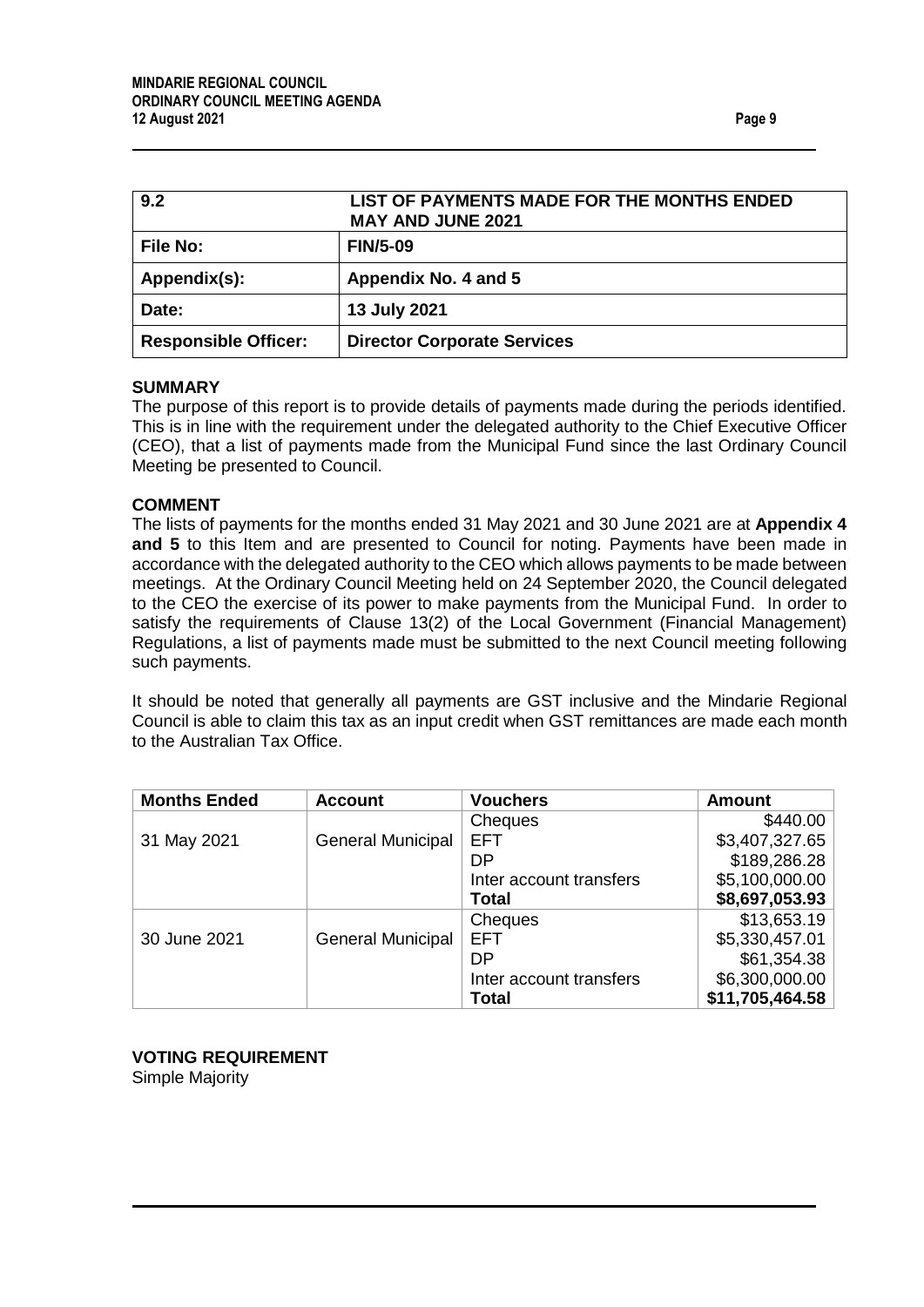<span id="page-8-1"></span><span id="page-8-0"></span>

| 9.2                         | LIST OF PAYMENTS MADE FOR THE MONTHS ENDED<br><b>MAY AND JUNE 2021</b> |
|-----------------------------|------------------------------------------------------------------------|
| <b>File No:</b>             | <b>FIN/5-09</b>                                                        |
| Appendix(s):                | Appendix No. 4 and 5                                                   |
| Date:                       | 13 July 2021                                                           |
| <b>Responsible Officer:</b> | <b>Director Corporate Services</b>                                     |

#### **SUMMARY**

The purpose of this report is to provide details of payments made during the periods identified. This is in line with the requirement under the delegated authority to the Chief Executive Officer (CEO), that a list of payments made from the Municipal Fund since the last Ordinary Council Meeting be presented to Council.

#### **COMMENT**

The lists of payments for the months ended 31 May 2021 and 30 June 2021 are at **Appendix 4 and 5** to this Item and are presented to Council for noting. Payments have been made in accordance with the delegated authority to the CEO which allows payments to be made between meetings. At the Ordinary Council Meeting held on 24 September 2020, the Council delegated to the CEO the exercise of its power to make payments from the Municipal Fund. In order to satisfy the requirements of Clause 13(2) of the Local Government (Financial Management) Regulations, a list of payments made must be submitted to the next Council meeting following such payments.

It should be noted that generally all payments are GST inclusive and the Mindarie Regional Council is able to claim this tax as an input credit when GST remittances are made each month to the Australian Tax Office.

| <b>Months Ended</b> | <b>Account</b>           | <b>Vouchers</b>         | <b>Amount</b>   |
|---------------------|--------------------------|-------------------------|-----------------|
|                     |                          | Cheques                 | \$440.00        |
| 31 May 2021         | <b>General Municipal</b> | <b>EFT</b>              | \$3,407,327.65  |
|                     |                          | DP                      | \$189,286.28    |
|                     |                          | Inter account transfers | \$5,100,000.00  |
|                     |                          | <b>Total</b>            | \$8,697,053.93  |
|                     |                          | Cheques                 | \$13,653.19     |
| 30 June 2021        | <b>General Municipal</b> | <b>EFT</b>              | \$5,330,457.01  |
|                     |                          | DP                      | \$61,354.38     |
|                     |                          | Inter account transfers | \$6,300,000.00  |
|                     |                          | <b>Total</b>            | \$11,705,464.58 |

**VOTING REQUIREMENT** Simple Majority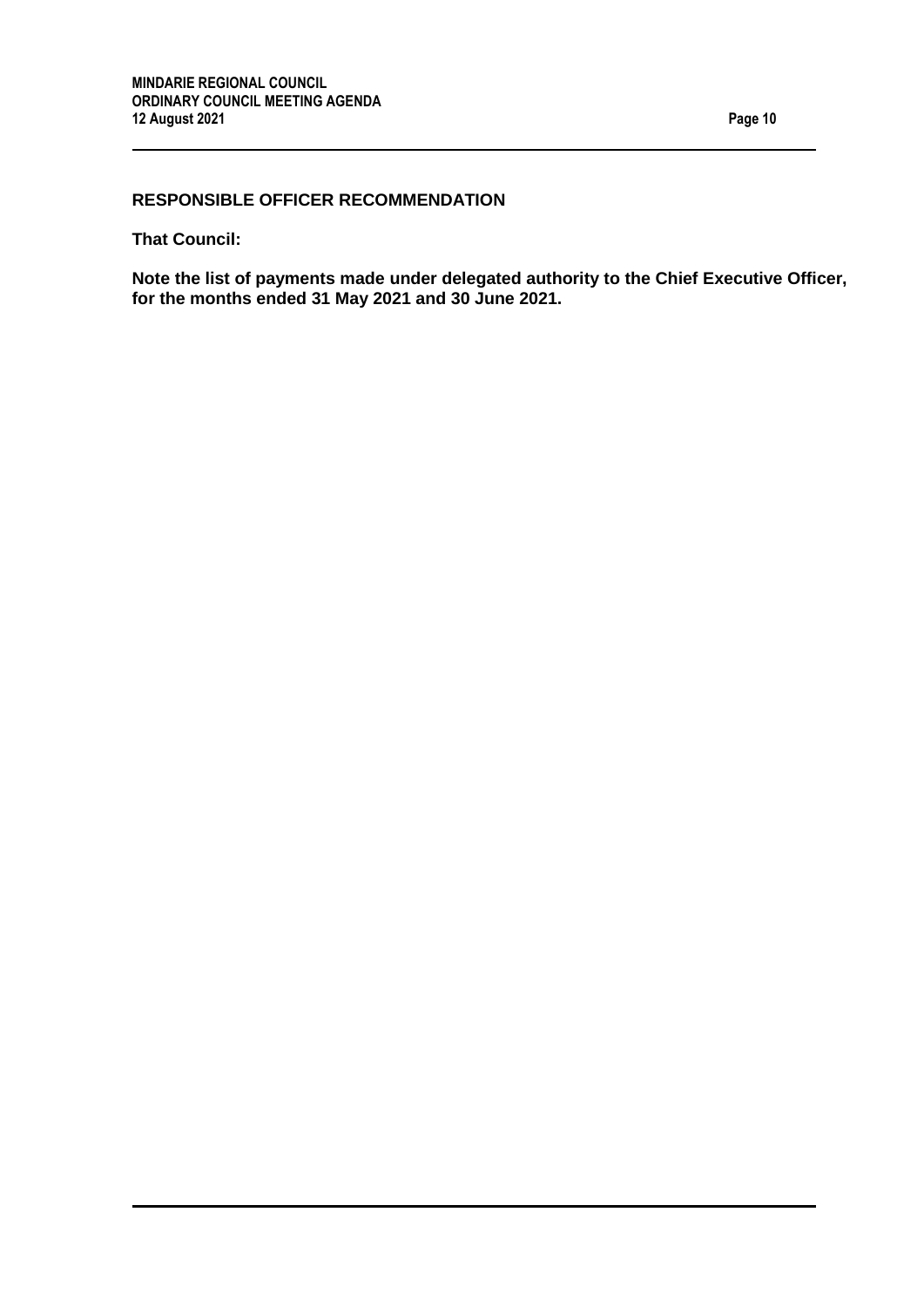# **RESPONSIBLE OFFICER RECOMMENDATION**

**That Council:**

**Note the list of payments made under delegated authority to the Chief Executive Officer, for the months ended 31 May 2021 and 30 June 2021.**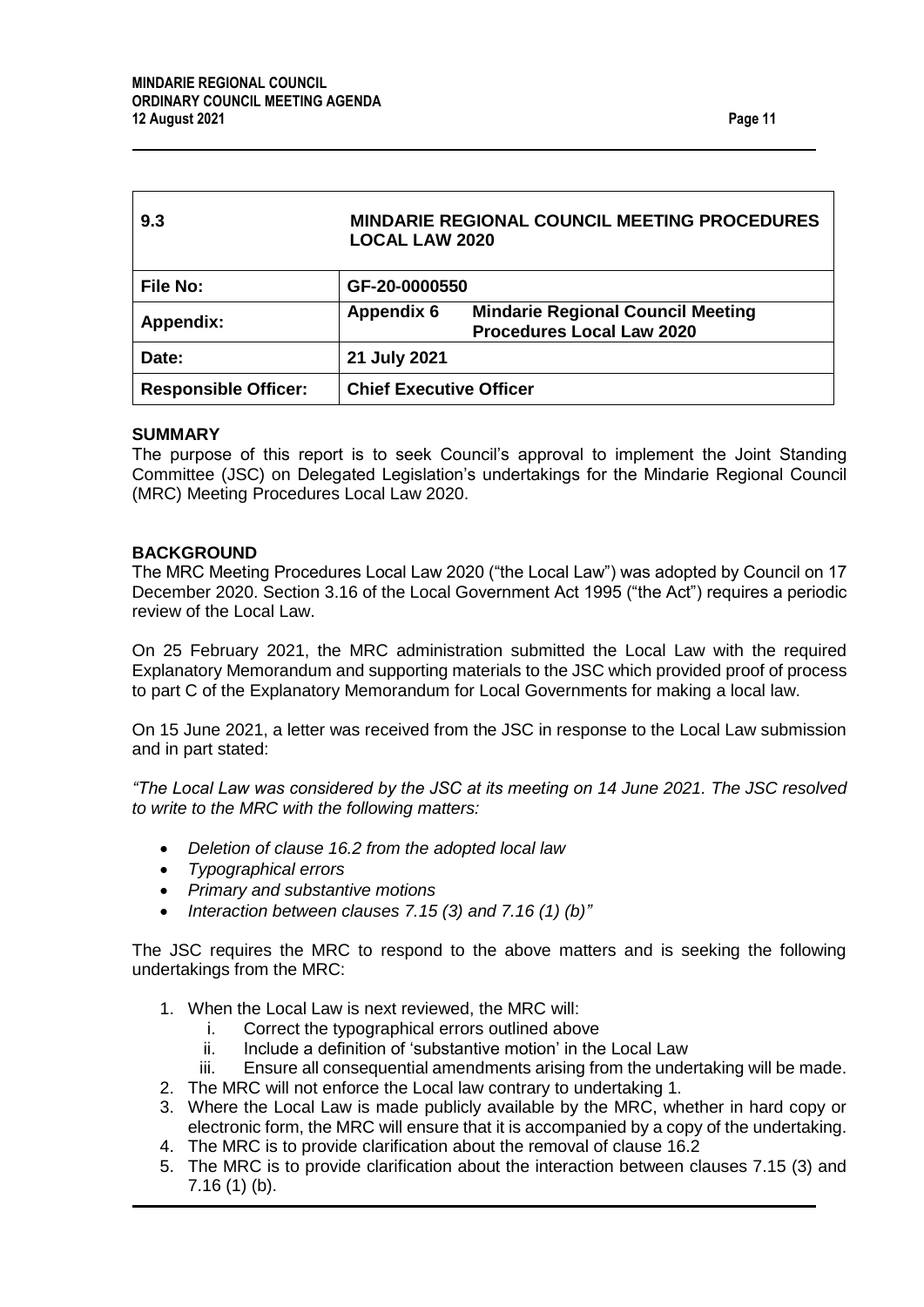<span id="page-10-0"></span>

| 9.3                         | <b>MINDARIE REGIONAL COUNCIL MEETING PROCEDURES</b><br><b>LOCAL LAW 2020</b>                      |  |
|-----------------------------|---------------------------------------------------------------------------------------------------|--|
| <b>File No:</b>             | GF-20-0000550                                                                                     |  |
| Appendix:                   | <b>Mindarie Regional Council Meeting</b><br><b>Appendix 6</b><br><b>Procedures Local Law 2020</b> |  |
| Date:                       | 21 July 2021                                                                                      |  |
| <b>Responsible Officer:</b> | <b>Chief Executive Officer</b>                                                                    |  |

#### **SUMMARY**

The purpose of this report is to seek Council's approval to implement the Joint Standing Committee (JSC) on Delegated Legislation's undertakings for the Mindarie Regional Council (MRC) Meeting Procedures Local Law 2020.

#### **BACKGROUND**

The MRC Meeting Procedures Local Law 2020 ("the Local Law") was adopted by Council on 17 December 2020. Section 3.16 of the Local Government Act 1995 ("the Act") requires a periodic review of the Local Law.

On 25 February 2021, the MRC administration submitted the Local Law with the required Explanatory Memorandum and supporting materials to the JSC which provided proof of process to part C of the Explanatory Memorandum for Local Governments for making a local law.

On 15 June 2021, a letter was received from the JSC in response to the Local Law submission and in part stated:

*"The Local Law was considered by the JSC at its meeting on 14 June 2021. The JSC resolved to write to the MRC with the following matters:* 

- *Deletion of clause 16.2 from the adopted local law*
- *Typographical errors*
- *Primary and substantive motions*
- *Interaction between clauses 7.15 (3) and 7.16 (1) (b)"*

The JSC requires the MRC to respond to the above matters and is seeking the following undertakings from the MRC:

1. When the Local Law is next reviewed, the MRC will:

- i. Correct the typographical errors outlined above
- ii. Include a definition of 'substantive motion' in the Local Law
- iii. Ensure all consequential amendments arising from the undertaking will be made.
- 2. The MRC will not enforce the Local law contrary to undertaking 1.
- 3. Where the Local Law is made publicly available by the MRC, whether in hard copy or electronic form, the MRC will ensure that it is accompanied by a copy of the undertaking.
- 4. The MRC is to provide clarification about the removal of clause 16.2
- 5. The MRC is to provide clarification about the interaction between clauses 7.15 (3) and 7.16 (1) (b).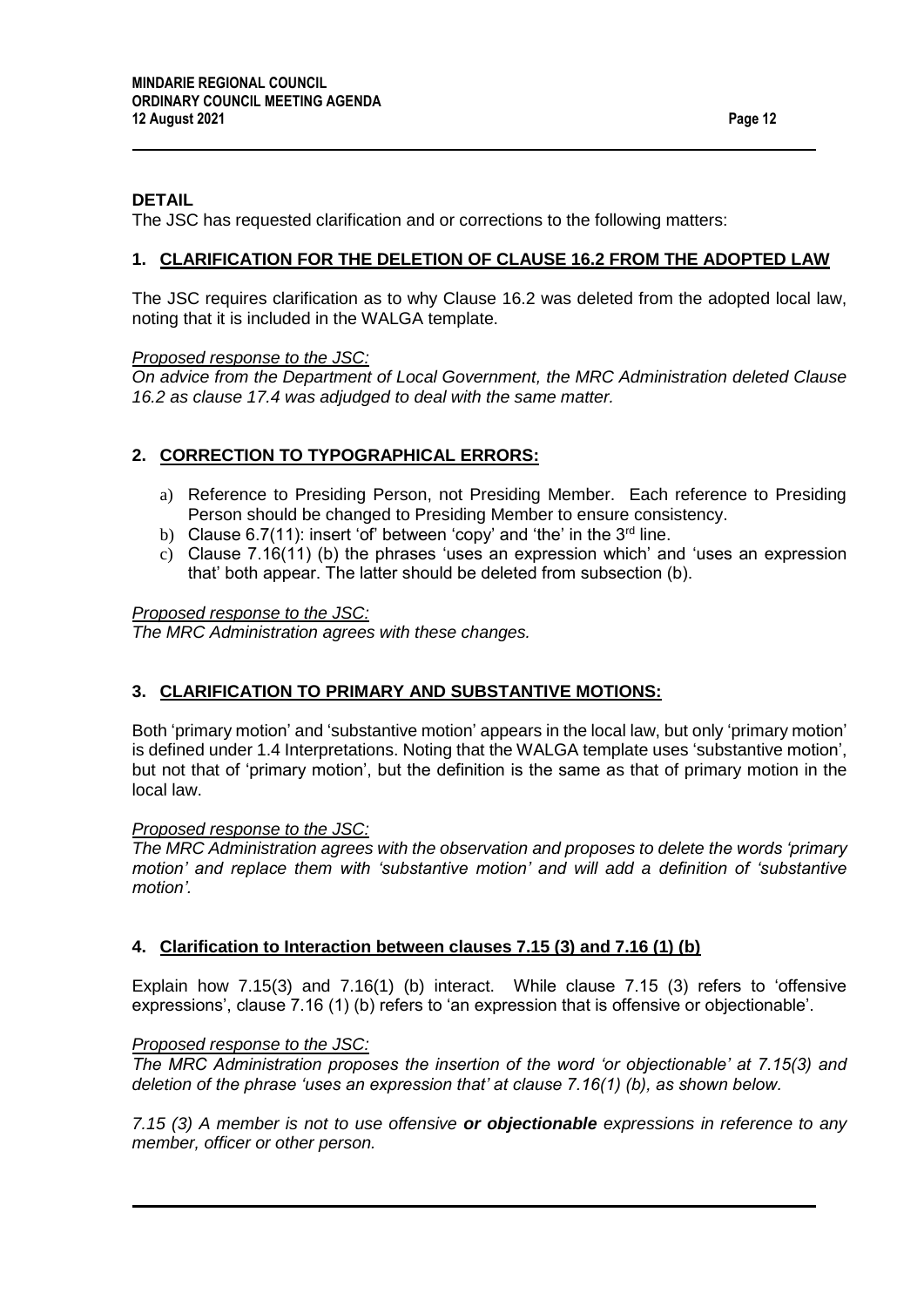### **DETAIL**

The JSC has requested clarification and or corrections to the following matters:

#### **1. CLARIFICATION FOR THE DELETION OF CLAUSE 16.2 FROM THE ADOPTED LAW**

The JSC requires clarification as to why Clause 16.2 was deleted from the adopted local law, noting that it is included in the WALGA template.

#### *Proposed response to the JSC:*

*On advice from the Department of Local Government, the MRC Administration deleted Clause 16.2 as clause 17.4 was adjudged to deal with the same matter.*

#### **2. CORRECTION TO TYPOGRAPHICAL ERRORS:**

- a) Reference to Presiding Person, not Presiding Member. Each reference to Presiding Person should be changed to Presiding Member to ensure consistency.
- b) Clause  $6.7(11)$ : insert 'of' between 'copy' and 'the' in the  $3<sup>rd</sup>$  line.
- c) Clause 7.16(11) (b) the phrases 'uses an expression which' and 'uses an expression that' both appear. The latter should be deleted from subsection (b).

#### *Proposed response to the JSC:*

*The MRC Administration agrees with these changes.*

#### **3. CLARIFICATION TO PRIMARY AND SUBSTANTIVE MOTIONS:**

Both 'primary motion' and 'substantive motion' appears in the local law, but only 'primary motion' is defined under 1.4 Interpretations. Noting that the WALGA template uses 'substantive motion', but not that of 'primary motion', but the definition is the same as that of primary motion in the local law.

#### *Proposed response to the JSC:*

*The MRC Administration agrees with the observation and proposes to delete the words 'primary motion' and replace them with 'substantive motion' and will add a definition of 'substantive motion'.*

#### **4. Clarification to Interaction between clauses 7.15 (3) and 7.16 (1) (b)**

Explain how 7.15(3) and 7.16(1) (b) interact. While clause 7.15 (3) refers to 'offensive expressions', clause 7.16 (1) (b) refers to 'an expression that is offensive or objectionable'.

#### *Proposed response to the JSC:*

*The MRC Administration proposes the insertion of the word 'or objectionable' at 7.15(3) and deletion of the phrase 'uses an expression that' at clause 7.16(1) (b), as shown below.*

*7.15 (3) A member is not to use offensive or objectionable expressions in reference to any member, officer or other person.*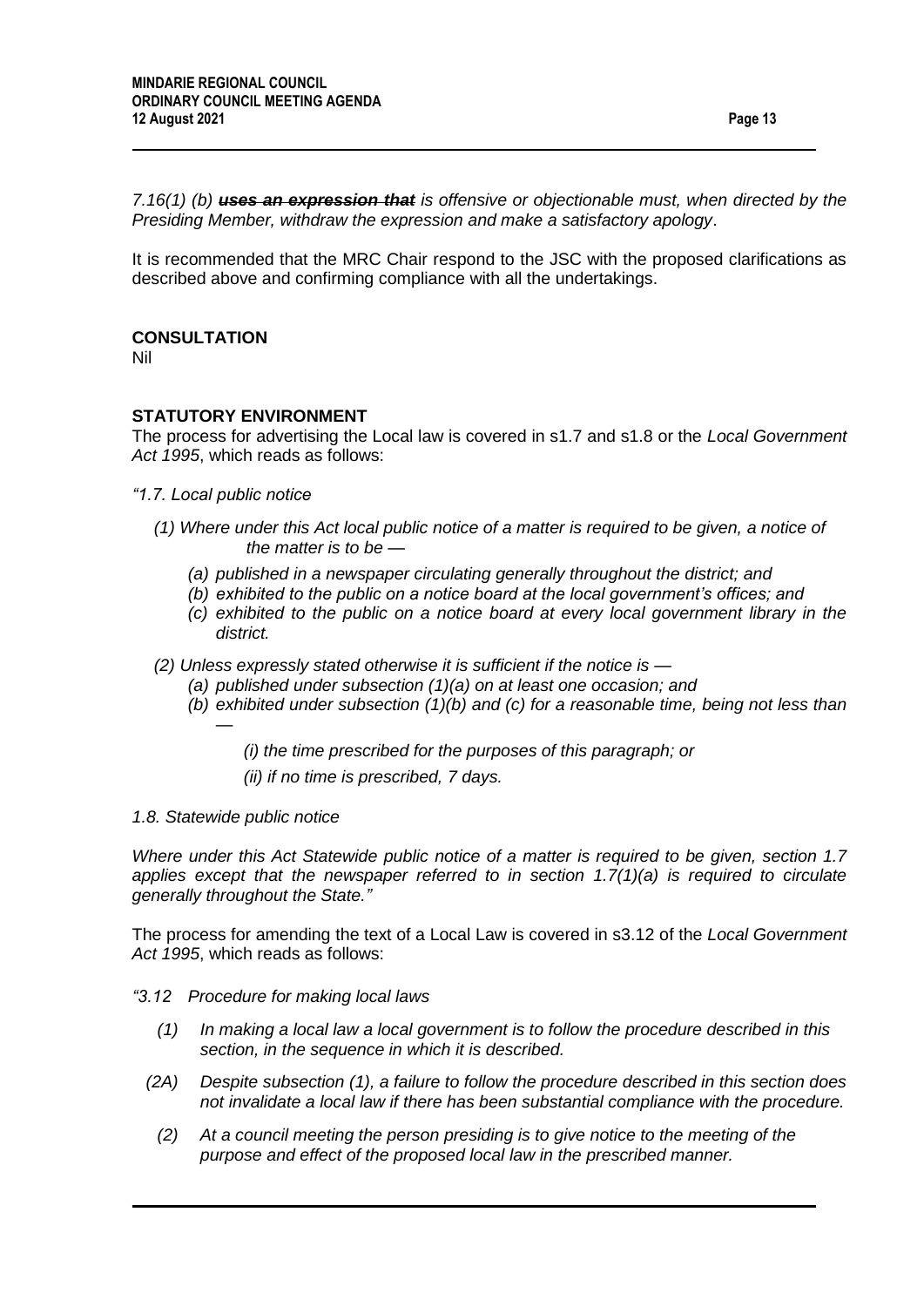*7.16(1) (b) uses an expression that is offensive or objectionable must, when directed by the Presiding Member, withdraw the expression and make a satisfactory apology*.

It is recommended that the MRC Chair respond to the JSC with the proposed clarifications as described above and confirming compliance with all the undertakings.

#### **CONSULTATION**

Nil

#### **STATUTORY ENVIRONMENT**

The process for advertising the Local law is covered in s1.7 and s1.8 or the *Local Government Act 1995*, which reads as follows:

- *"1.7. Local public notice* 
	- *(1) Where under this Act local public notice of a matter is required to be given, a notice of the matter is to be —*
		- *(a) published in a newspaper circulating generally throughout the district; and*
		- *(b) exhibited to the public on a notice board at the local government's offices; and*
		- *(c) exhibited to the public on a notice board at every local government library in the district.*
	- *(2) Unless expressly stated otherwise it is sufficient if the notice is —*
		- *(a) published under subsection (1)(a) on at least one occasion; and*
		- *(b) exhibited under subsection (1)(b) and (c) for a reasonable time, being not less than —*

*(i) the time prescribed for the purposes of this paragraph; or*

*(ii) if no time is prescribed, 7 days.*

*1.8. Statewide public notice* 

*Where under this Act Statewide public notice of a matter is required to be given, section 1.7 applies except that the newspaper referred to in section 1.7(1)(a) is required to circulate generally throughout the State."*

The process for amending the text of a Local Law is covered in s3.12 of the *Local Government Act 1995*, which reads as follows:

#### *"3.12 Procedure for making local laws*

- *(1) In making a local law a local government is to follow the procedure described in this section, in the sequence in which it is described.*
- *(2A) Despite subsection (1), a failure to follow the procedure described in this section does not invalidate a local law if there has been substantial compliance with the procedure.*
	- *(2) At a council meeting the person presiding is to give notice to the meeting of the purpose and effect of the proposed local law in the prescribed manner.*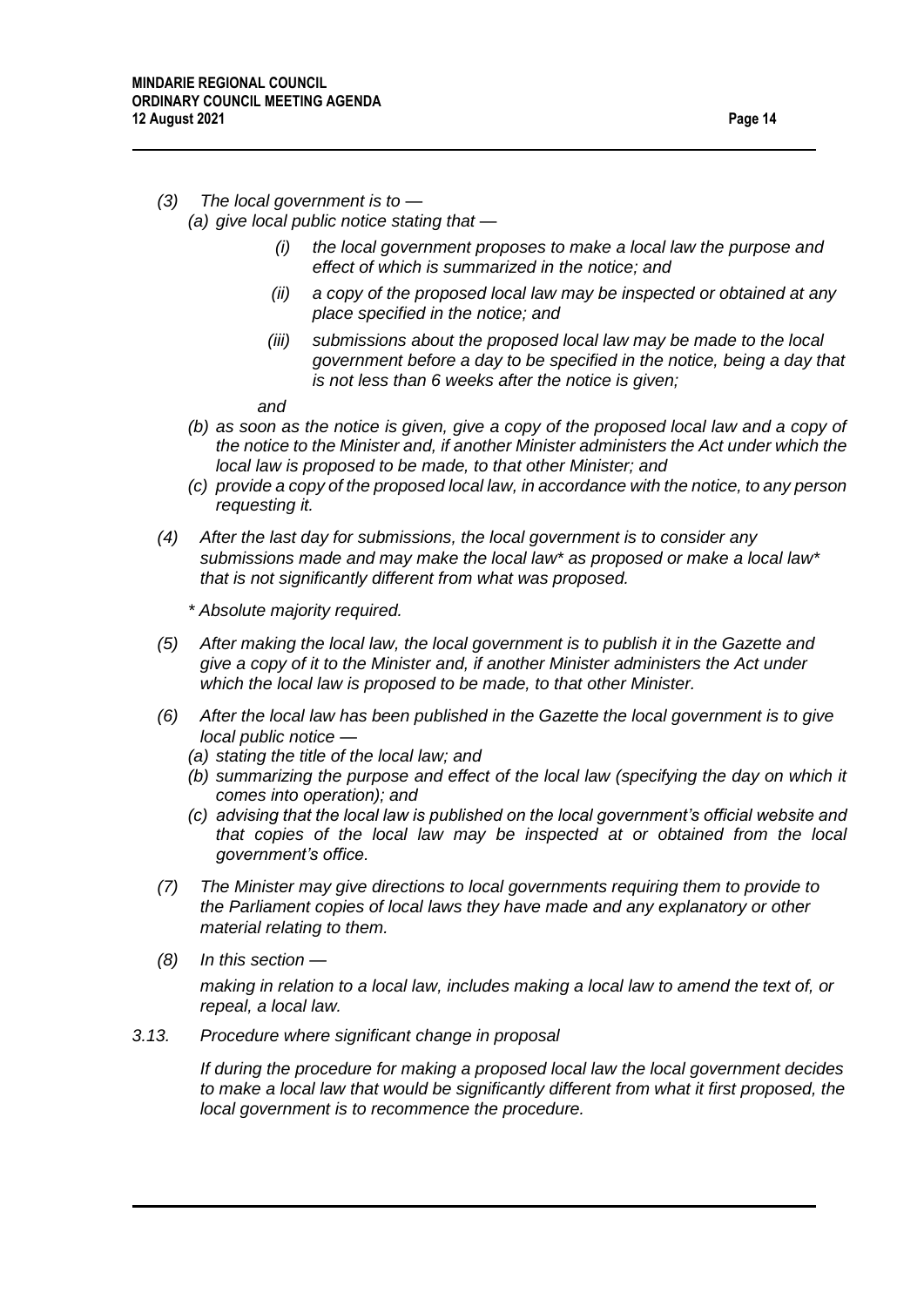#### *(3) The local government is to — (a) give local public notice stating that —*

- *(i) the local government proposes to make a local law the purpose and effect of which is summarized in the notice; and*
- *(ii) a copy of the proposed local law may be inspected or obtained at any place specified in the notice; and*
- *(iii) submissions about the proposed local law may be made to the local government before a day to be specified in the notice, being a day that is not less than 6 weeks after the notice is given;*

*and*

- *(b) as soon as the notice is given, give a copy of the proposed local law and a copy of the notice to the Minister and, if another Minister administers the Act under which the local law is proposed to be made, to that other Minister; and*
- *(c) provide a copy of the proposed local law, in accordance with the notice, to any person requesting it.*
- *(4) After the last day for submissions, the local government is to consider any submissions made and may make the local law\* as proposed or make a local law\* that is not significantly different from what was proposed.*

*\* Absolute majority required.*

- *(5) After making the local law, the local government is to publish it in the Gazette and give a copy of it to the Minister and, if another Minister administers the Act under which the local law is proposed to be made, to that other Minister.*
- *(6) After the local law has been published in the Gazette the local government is to give local public notice —*
	- *(a) stating the title of the local law; and*
	- *(b) summarizing the purpose and effect of the local law (specifying the day on which it comes into operation); and*
	- *(c) advising that the local law is published on the local government's official website and that copies of the local law may be inspected at or obtained from the local government's office.*
- *(7) The Minister may give directions to local governments requiring them to provide to the Parliament copies of local laws they have made and any explanatory or other material relating to them.*
- *(8) In this section —*

*making in relation to a local law, includes making a local law to amend the text of, or repeal, a local law.*

*3.13. Procedure where significant change in proposal*

*If during the procedure for making a proposed local law the local government decides to make a local law that would be significantly different from what it first proposed, the local government is to recommence the procedure.*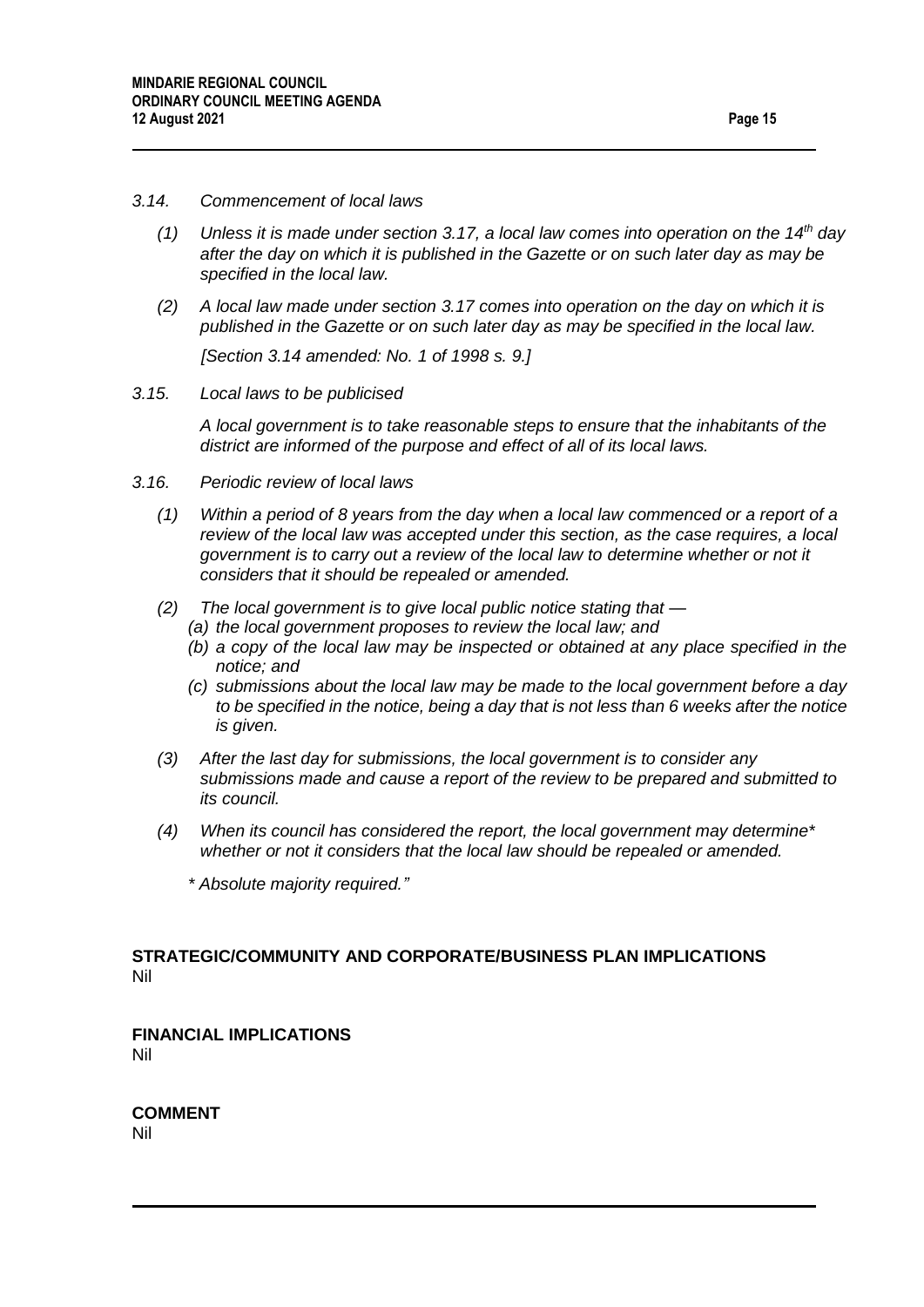#### *3.14. Commencement of local laws*

- *(1) Unless it is made under section 3.17, a local law comes into operation on the 14th day after the day on which it is published in the Gazette or on such later day as may be specified in the local law.*
- *(2) A local law made under section 3.17 comes into operation on the day on which it is published in the Gazette or on such later day as may be specified in the local law.*

*[Section 3.14 amended: No. 1 of 1998 s. 9.]*

*3.15. Local laws to be publicised*

*A local government is to take reasonable steps to ensure that the inhabitants of the district are informed of the purpose and effect of all of its local laws.*

- *3.16. Periodic review of local laws*
	- *(1) Within a period of 8 years from the day when a local law commenced or a report of a review of the local law was accepted under this section, as the case requires, a local government is to carry out a review of the local law to determine whether or not it considers that it should be repealed or amended.*
	- *(2) The local government is to give local public notice stating that —*
		- *(a) the local government proposes to review the local law; and*
		- *(b) a copy of the local law may be inspected or obtained at any place specified in the notice; and*
		- *(c) submissions about the local law may be made to the local government before a day to be specified in the notice, being a day that is not less than 6 weeks after the notice is given.*
	- *(3) After the last day for submissions, the local government is to consider any submissions made and cause a report of the review to be prepared and submitted to its council.*
	- *(4) When its council has considered the report, the local government may determine\* whether or not it considers that the local law should be repealed or amended.*
		- *\* Absolute majority required."*

#### **STRATEGIC/COMMUNITY AND CORPORATE/BUSINESS PLAN IMPLICATIONS**  Nil

**FINANCIAL IMPLICATIONS** Nil

**COMMENT** Nil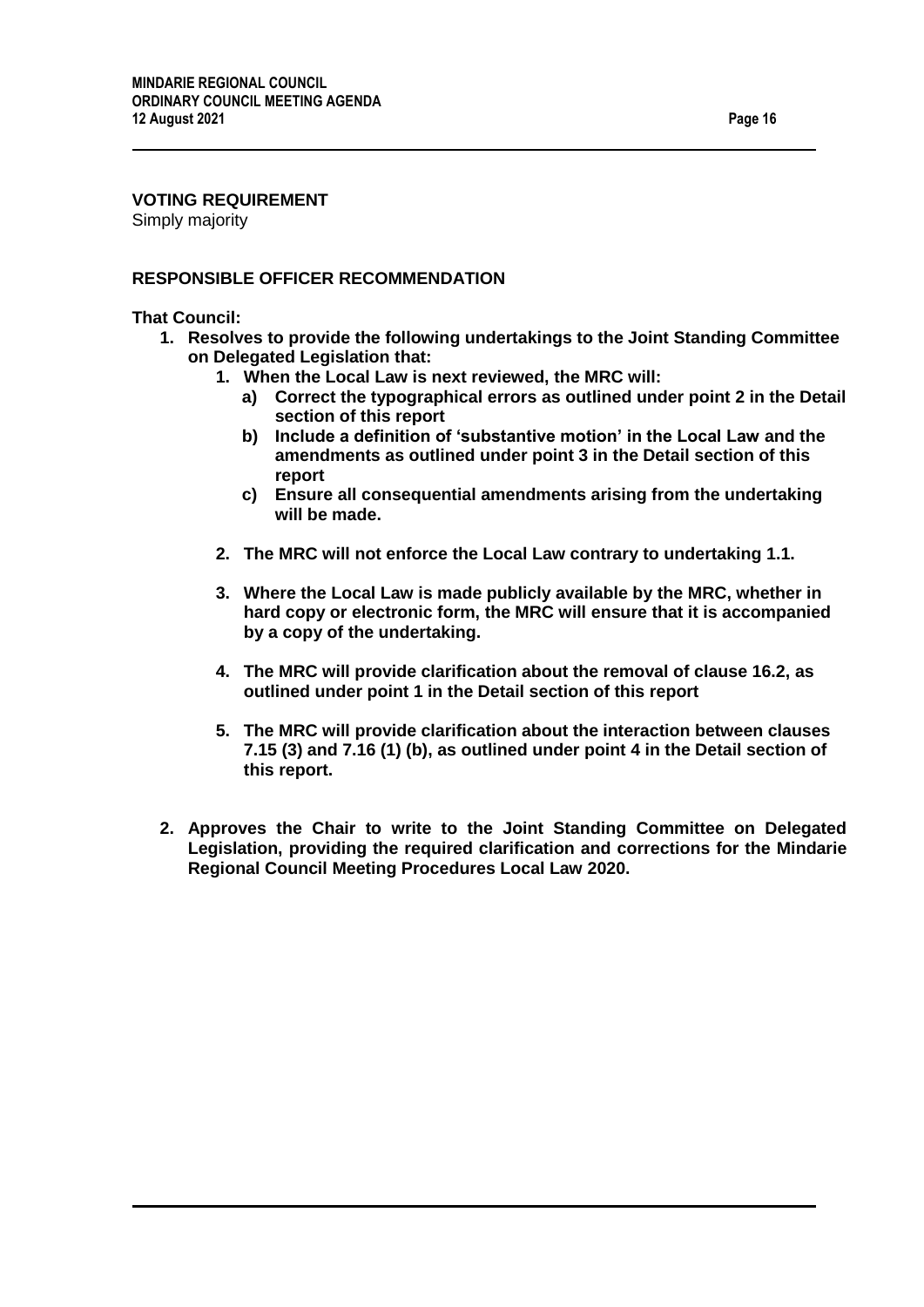# **VOTING REQUIREMENT**

Simply majority

#### **RESPONSIBLE OFFICER RECOMMENDATION**

**That Council:**

- **1. Resolves to provide the following undertakings to the Joint Standing Committee on Delegated Legislation that:**
	- **1. When the Local Law is next reviewed, the MRC will:**
		- **a) Correct the typographical errors as outlined under point 2 in the Detail section of this report**
		- **b) Include a definition of 'substantive motion' in the Local Law and the amendments as outlined under point 3 in the Detail section of this report**
		- **c) Ensure all consequential amendments arising from the undertaking will be made.**
	- **2. The MRC will not enforce the Local Law contrary to undertaking 1.1.**
	- **3. Where the Local Law is made publicly available by the MRC, whether in hard copy or electronic form, the MRC will ensure that it is accompanied by a copy of the undertaking.**
	- **4. The MRC will provide clarification about the removal of clause 16.2, as outlined under point 1 in the Detail section of this report**
	- **5. The MRC will provide clarification about the interaction between clauses 7.15 (3) and 7.16 (1) (b), as outlined under point 4 in the Detail section of this report.**
- **2. Approves the Chair to write to the Joint Standing Committee on Delegated Legislation, providing the required clarification and corrections for the Mindarie Regional Council Meeting Procedures Local Law 2020.**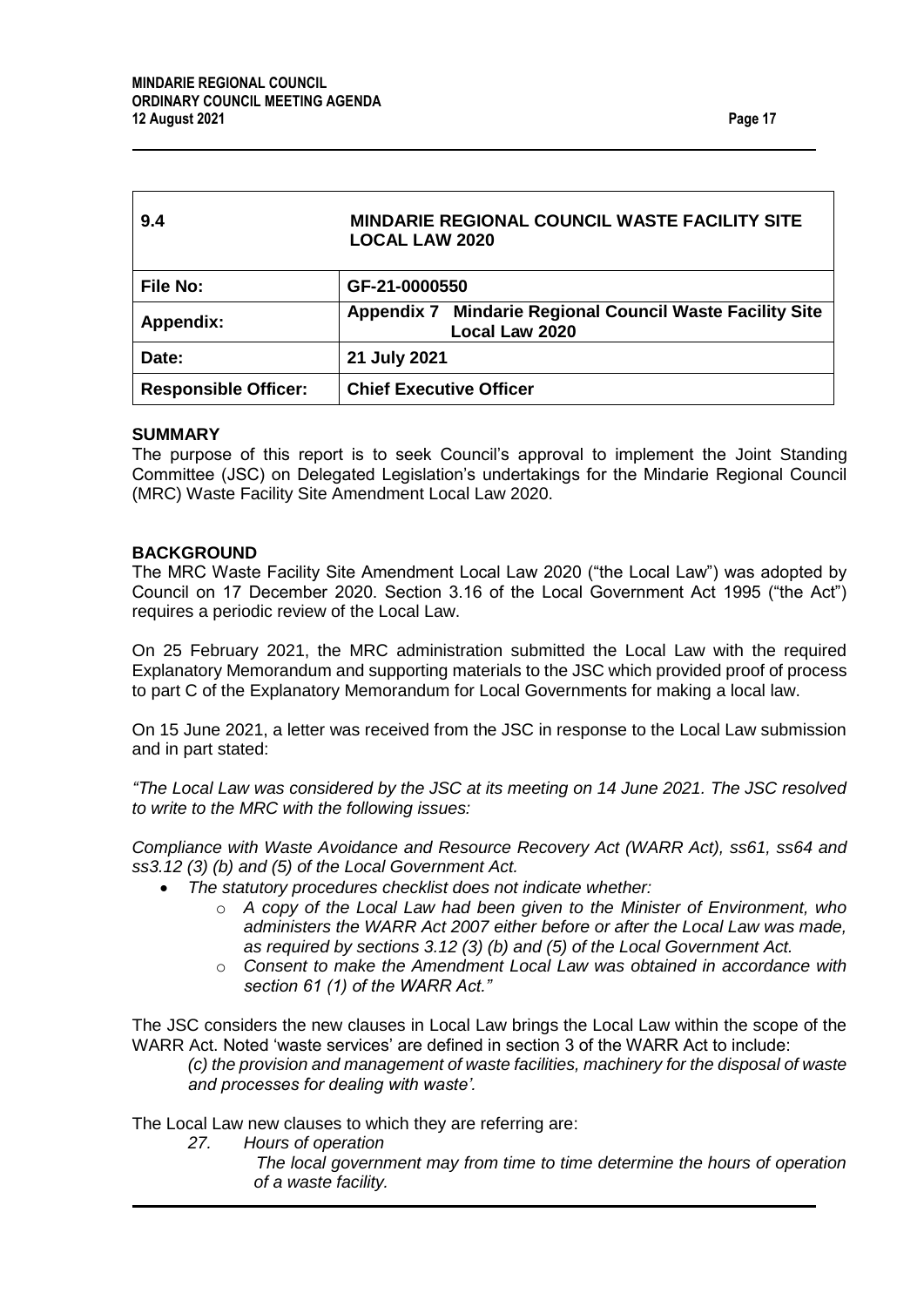<span id="page-16-0"></span>

| 9.4                         | MINDARIE REGIONAL COUNCIL WASTE FACILITY SITE<br><b>LOCAL LAW 2020</b>            |
|-----------------------------|-----------------------------------------------------------------------------------|
| <b>File No:</b>             | GF-21-0000550                                                                     |
| <b>Appendix:</b>            | <b>Appendix 7 Mindarie Regional Council Waste Facility Site</b><br>Local Law 2020 |
| Date:                       | 21 July 2021                                                                      |
| <b>Responsible Officer:</b> | <b>Chief Executive Officer</b>                                                    |

#### **SUMMARY**

The purpose of this report is to seek Council's approval to implement the Joint Standing Committee (JSC) on Delegated Legislation's undertakings for the Mindarie Regional Council (MRC) Waste Facility Site Amendment Local Law 2020.

#### **BACKGROUND**

The MRC Waste Facility Site Amendment Local Law 2020 ("the Local Law") was adopted by Council on 17 December 2020. Section 3.16 of the Local Government Act 1995 ("the Act") requires a periodic review of the Local Law.

On 25 February 2021, the MRC administration submitted the Local Law with the required Explanatory Memorandum and supporting materials to the JSC which provided proof of process to part C of the Explanatory Memorandum for Local Governments for making a local law.

On 15 June 2021, a letter was received from the JSC in response to the Local Law submission and in part stated:

*"The Local Law was considered by the JSC at its meeting on 14 June 2021. The JSC resolved to write to the MRC with the following issues:*

*Compliance with Waste Avoidance and Resource Recovery Act (WARR Act), ss61, ss64 and ss3.12 (3) (b) and (5) of the Local Government Act.*

- *The statutory procedures checklist does not indicate whether:*
	- o *A copy of the Local Law had been given to the Minister of Environment, who administers the WARR Act 2007 either before or after the Local Law was made, as required by sections 3.12 (3) (b) and (5) of the Local Government Act.*
	- o *Consent to make the Amendment Local Law was obtained in accordance with section 61 (1) of the WARR Act."*

The JSC considers the new clauses in Local Law brings the Local Law within the scope of the WARR Act. Noted 'waste services' are defined in section 3 of the WARR Act to include:

*(c) the provision and management of waste facilities, machinery for the disposal of waste and processes for dealing with waste'.*

The Local Law new clauses to which they are referring are:

- *27. Hours of operation* 
	- *The local government may from time to time determine the hours of operation of a waste facility.*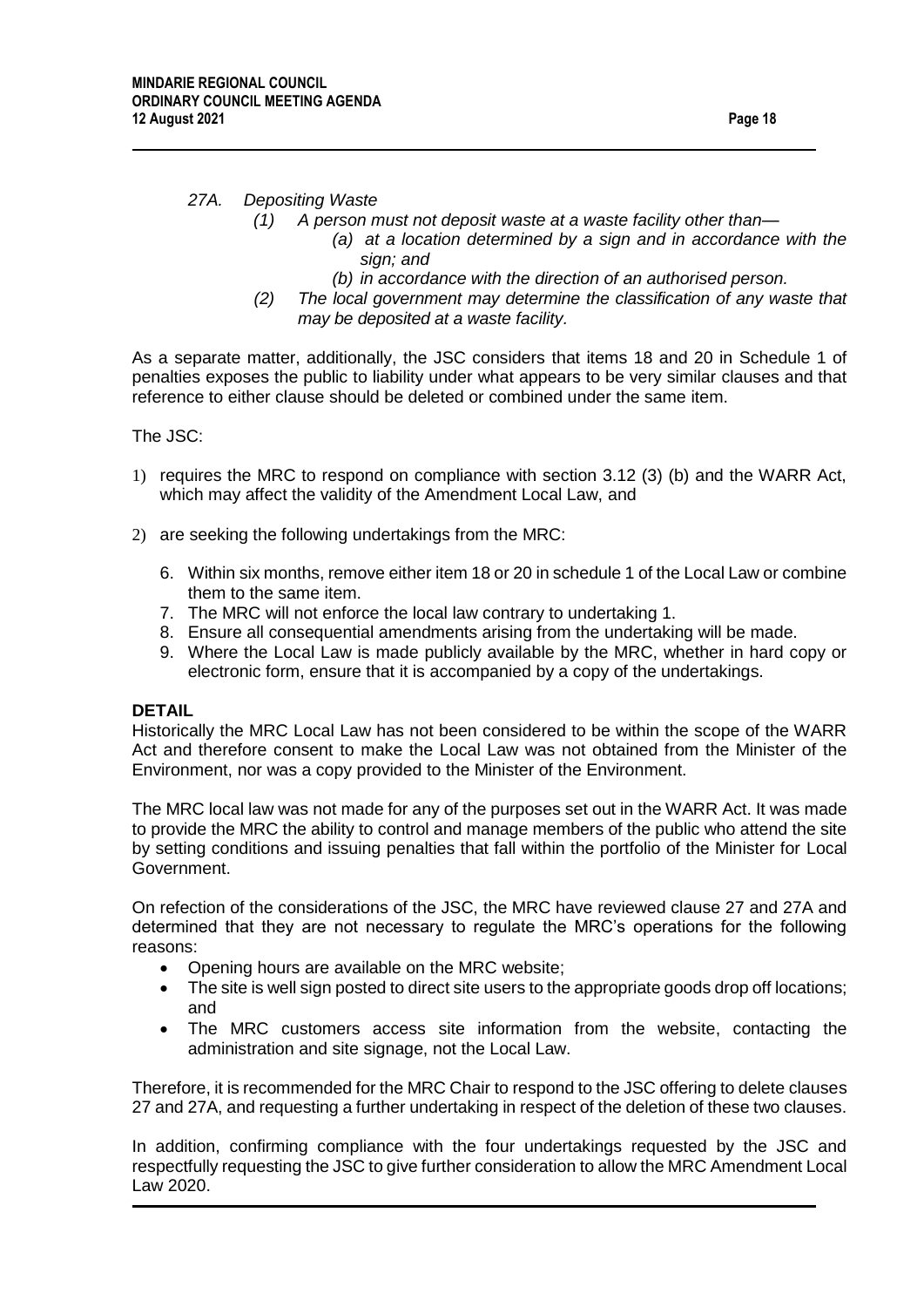#### *27A. Depositing Waste*

- *(1) A person must not deposit waste at a waste facility other than—*
	- *(a) at a location determined by a sign and in accordance with the sign; and*
	- *(b) in accordance with the direction of an authorised person.*
- *(2) The local government may determine the classification of any waste that may be deposited at a waste facility.*

As a separate matter, additionally, the JSC considers that items 18 and 20 in Schedule 1 of penalties exposes the public to liability under what appears to be very similar clauses and that reference to either clause should be deleted or combined under the same item.

The JSC:

- 1) requires the MRC to respond on compliance with section 3.12 (3) (b) and the WARR Act, which may affect the validity of the Amendment Local Law, and
- 2) are seeking the following undertakings from the MRC:
	- 6. Within six months, remove either item 18 or 20 in schedule 1 of the Local Law or combine them to the same item.
	- 7. The MRC will not enforce the local law contrary to undertaking 1.
	- 8. Ensure all consequential amendments arising from the undertaking will be made.
	- 9. Where the Local Law is made publicly available by the MRC, whether in hard copy or electronic form, ensure that it is accompanied by a copy of the undertakings.

#### **DETAIL**

Historically the MRC Local Law has not been considered to be within the scope of the WARR Act and therefore consent to make the Local Law was not obtained from the Minister of the Environment, nor was a copy provided to the Minister of the Environment.

The MRC local law was not made for any of the purposes set out in the WARR Act. It was made to provide the MRC the ability to control and manage members of the public who attend the site by setting conditions and issuing penalties that fall within the portfolio of the Minister for Local Government.

On refection of the considerations of the JSC, the MRC have reviewed clause 27 and 27A and determined that they are not necessary to regulate the MRC's operations for the following reasons:

- Opening hours are available on the MRC website:
- The site is well sign posted to direct site users to the appropriate goods drop off locations; and
- The MRC customers access site information from the website, contacting the administration and site signage, not the Local Law.

Therefore, it is recommended for the MRC Chair to respond to the JSC offering to delete clauses 27 and 27A, and requesting a further undertaking in respect of the deletion of these two clauses.

In addition, confirming compliance with the four undertakings requested by the JSC and respectfully requesting the JSC to give further consideration to allow the MRC Amendment Local Law 2020.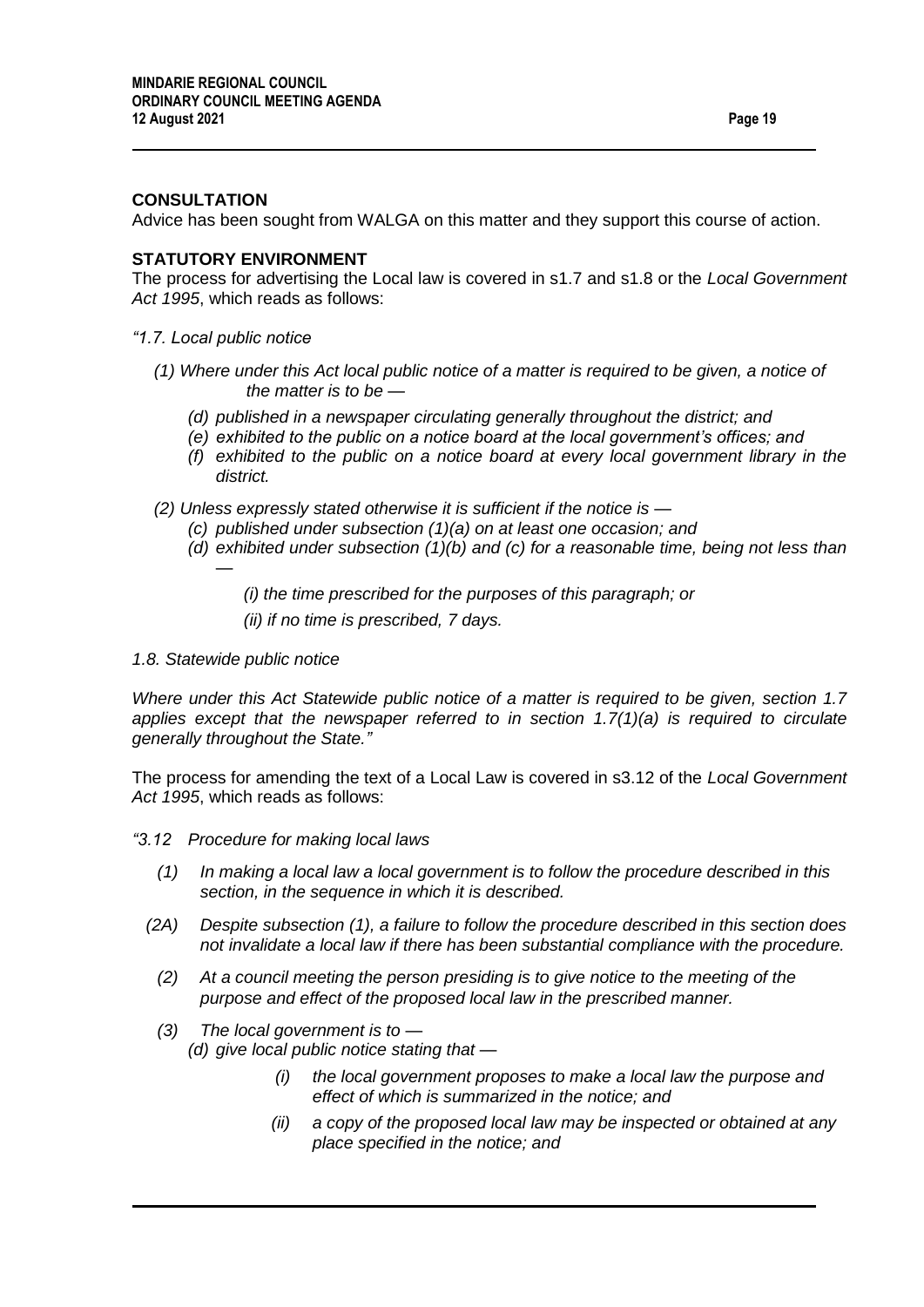#### **CONSULTATION**

Advice has been sought from WALGA on this matter and they support this course of action.

#### **STATUTORY ENVIRONMENT**

The process for advertising the Local law is covered in s1.7 and s1.8 or the *Local Government Act 1995*, which reads as follows:

- *"1.7. Local public notice* 
	- *(1) Where under this Act local public notice of a matter is required to be given, a notice of the matter is to be —*
		- *(d) published in a newspaper circulating generally throughout the district; and*
		- *(e) exhibited to the public on a notice board at the local government's offices; and*
		- *(f) exhibited to the public on a notice board at every local government library in the district.*
	- *(2) Unless expressly stated otherwise it is sufficient if the notice is —*
		- *(c) published under subsection (1)(a) on at least one occasion; and*
		- *(d) exhibited under subsection (1)(b) and (c) for a reasonable time, being not less than* 
			- *(i) the time prescribed for the purposes of this paragraph; or*
			- *(ii) if no time is prescribed, 7 days.*
- *1.8. Statewide public notice*

*—*

*Where under this Act Statewide public notice of a matter is required to be given, section 1.7 applies except that the newspaper referred to in section 1.7(1)(a) is required to circulate generally throughout the State."*

The process for amending the text of a Local Law is covered in s3.12 of the *Local Government Act 1995*, which reads as follows:

- *"3.12 Procedure for making local laws*
	- *(1) In making a local law a local government is to follow the procedure described in this section, in the sequence in which it is described.*
	- *(2A) Despite subsection (1), a failure to follow the procedure described in this section does not invalidate a local law if there has been substantial compliance with the procedure.*
		- *(2) At a council meeting the person presiding is to give notice to the meeting of the purpose and effect of the proposed local law in the prescribed manner.*
	- *(3) The local government is to — (d) give local public notice stating that —*
		- *(i) the local government proposes to make a local law the purpose and effect of which is summarized in the notice; and*
		- *(ii) a copy of the proposed local law may be inspected or obtained at any place specified in the notice; and*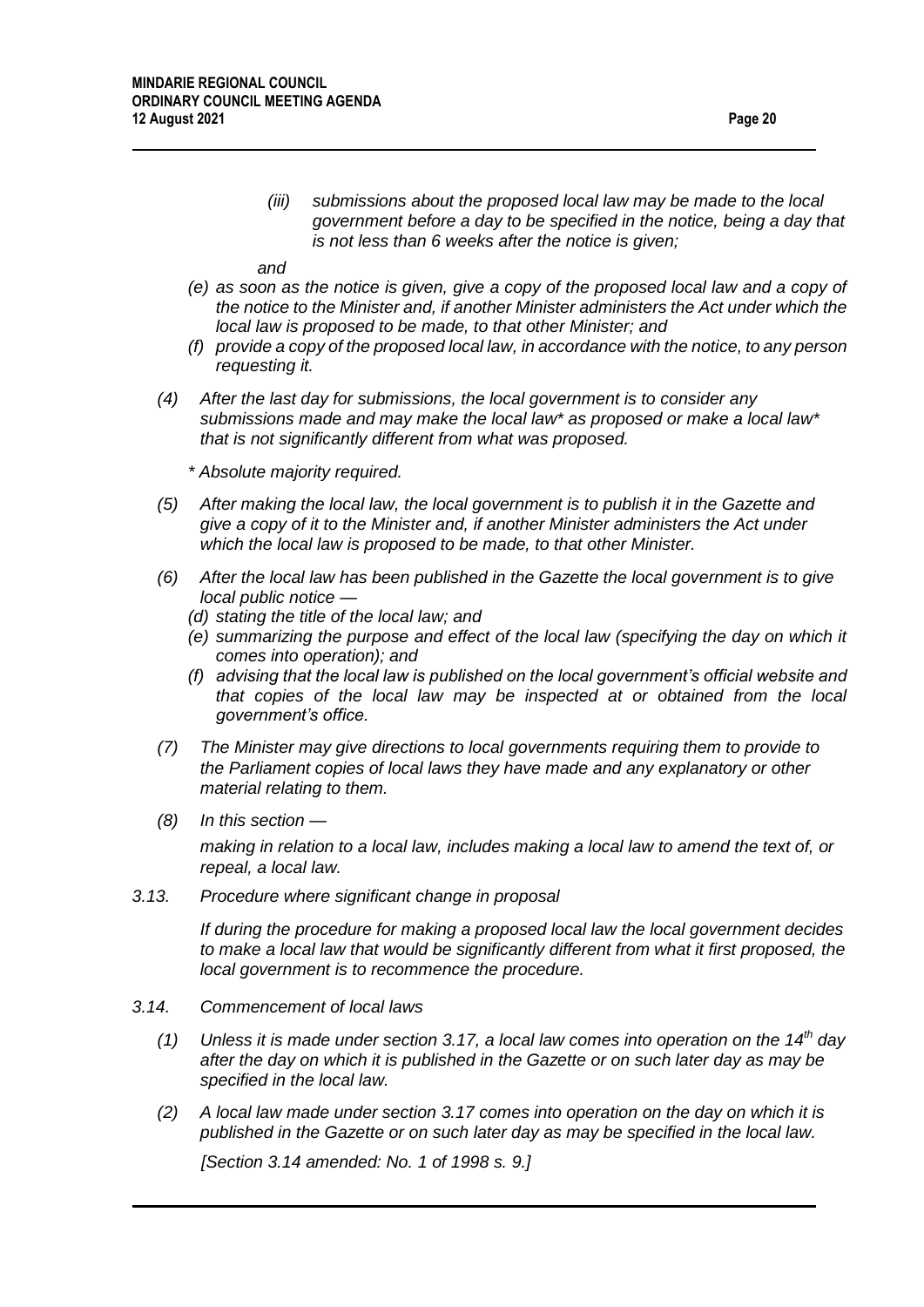*(iii) submissions about the proposed local law may be made to the local government before a day to be specified in the notice, being a day that is not less than 6 weeks after the notice is given;*

*and*

- *(e) as soon as the notice is given, give a copy of the proposed local law and a copy of the notice to the Minister and, if another Minister administers the Act under which the local law is proposed to be made, to that other Minister; and*
- *(f) provide a copy of the proposed local law, in accordance with the notice, to any person requesting it.*
- *(4) After the last day for submissions, the local government is to consider any submissions made and may make the local law\* as proposed or make a local law\* that is not significantly different from what was proposed.*
	- *\* Absolute majority required.*
- *(5) After making the local law, the local government is to publish it in the Gazette and give a copy of it to the Minister and, if another Minister administers the Act under which the local law is proposed to be made, to that other Minister.*
- *(6) After the local law has been published in the Gazette the local government is to give local public notice —*
	- *(d) stating the title of the local law; and*
	- *(e) summarizing the purpose and effect of the local law (specifying the day on which it comes into operation); and*
	- *(f) advising that the local law is published on the local government's official website and that copies of the local law may be inspected at or obtained from the local government's office.*
- *(7) The Minister may give directions to local governments requiring them to provide to the Parliament copies of local laws they have made and any explanatory or other material relating to them.*
- *(8) In this section —*

*making in relation to a local law, includes making a local law to amend the text of, or repeal, a local law.*

*3.13. Procedure where significant change in proposal*

*If during the procedure for making a proposed local law the local government decides to make a local law that would be significantly different from what it first proposed, the local government is to recommence the procedure.*

- *3.14. Commencement of local laws*
	- *(1) Unless it is made under section 3.17, a local law comes into operation on the 14th day after the day on which it is published in the Gazette or on such later day as may be specified in the local law.*
	- *(2) A local law made under section 3.17 comes into operation on the day on which it is published in the Gazette or on such later day as may be specified in the local law.*

*[Section 3.14 amended: No. 1 of 1998 s. 9.]*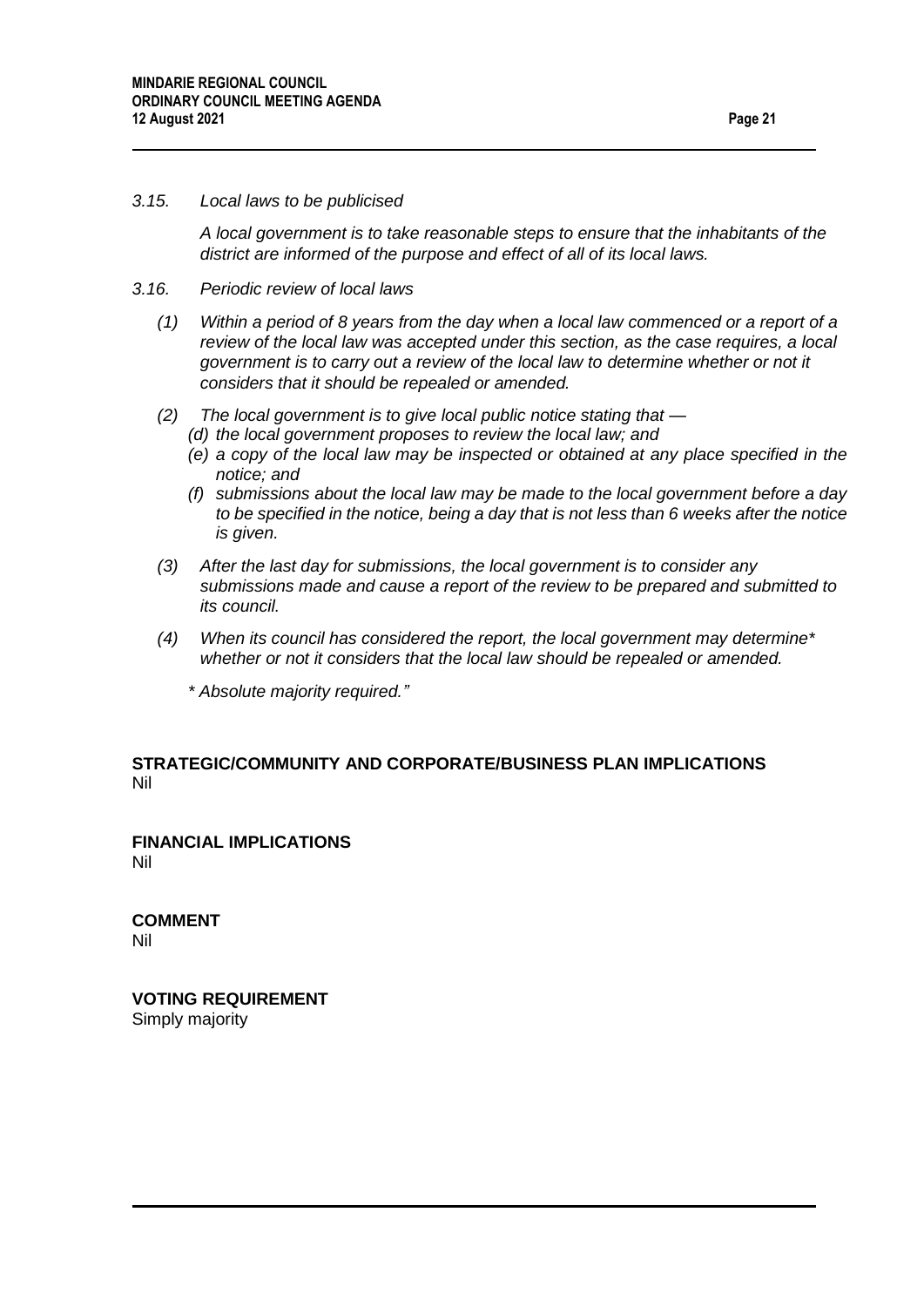#### *3.15. Local laws to be publicised*

*A local government is to take reasonable steps to ensure that the inhabitants of the district are informed of the purpose and effect of all of its local laws.*

#### *3.16. Periodic review of local laws*

- *(1) Within a period of 8 years from the day when a local law commenced or a report of a review of the local law was accepted under this section, as the case requires, a local government is to carry out a review of the local law to determine whether or not it considers that it should be repealed or amended.*
- *(2) The local government is to give local public notice stating that —*
	- *(d) the local government proposes to review the local law; and*
	- *(e) a copy of the local law may be inspected or obtained at any place specified in the notice; and*
	- *(f) submissions about the local law may be made to the local government before a day to be specified in the notice, being a day that is not less than 6 weeks after the notice is given.*
- *(3) After the last day for submissions, the local government is to consider any submissions made and cause a report of the review to be prepared and submitted to its council.*
- *(4) When its council has considered the report, the local government may determine\* whether or not it considers that the local law should be repealed or amended.*
	- *\* Absolute majority required."*

#### **STRATEGIC/COMMUNITY AND CORPORATE/BUSINESS PLAN IMPLICATIONS**  Nil

**FINANCIAL IMPLICATIONS** Nil

**COMMENT** Nil

**VOTING REQUIREMENT** Simply majority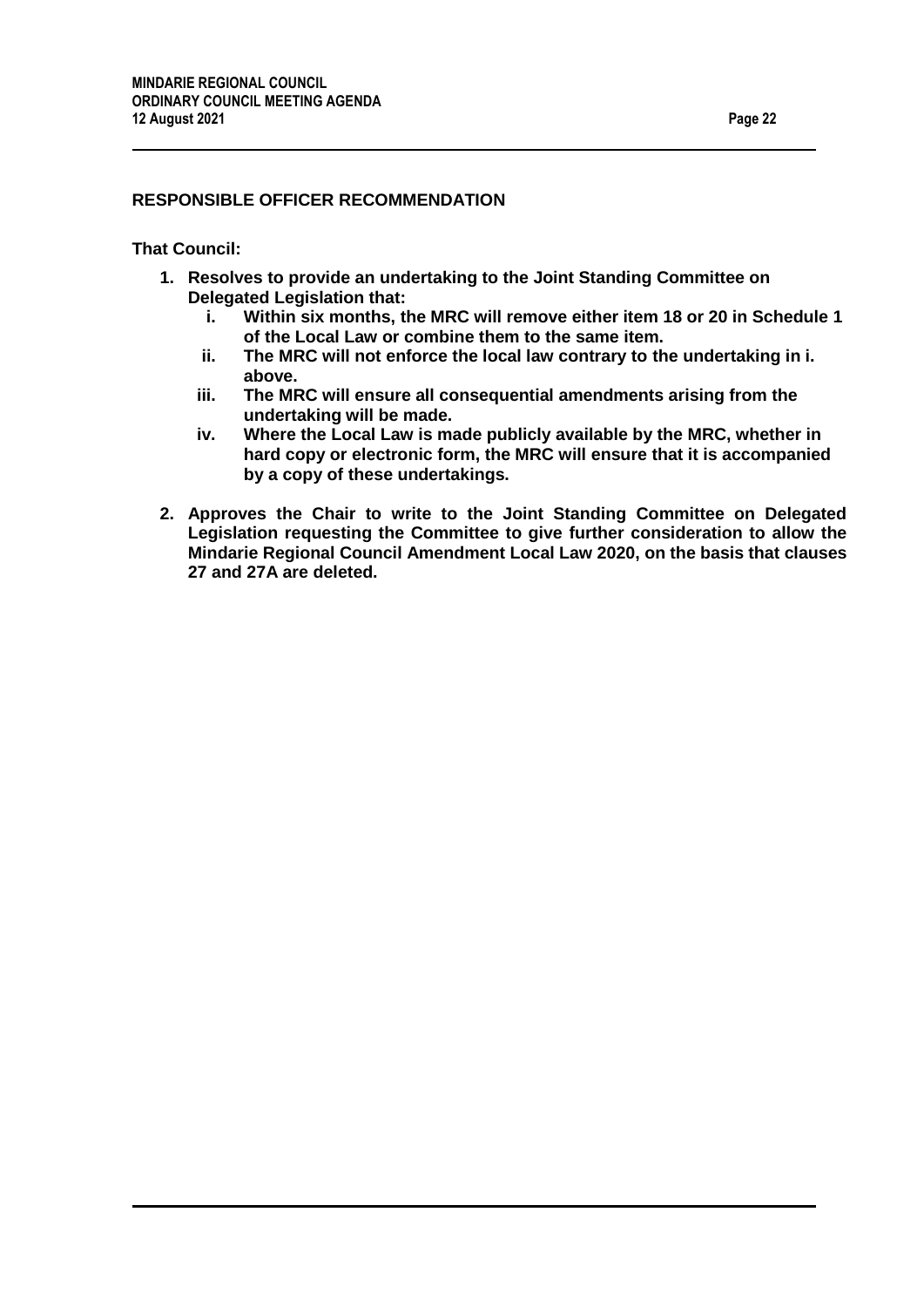### **RESPONSIBLE OFFICER RECOMMENDATION**

#### **That Council:**

- **1. Resolves to provide an undertaking to the Joint Standing Committee on Delegated Legislation that:**
	- **i. Within six months, the MRC will remove either item 18 or 20 in Schedule 1 of the Local Law or combine them to the same item.**
	- **ii. The MRC will not enforce the local law contrary to the undertaking in i. above.**
	- **iii. The MRC will ensure all consequential amendments arising from the undertaking will be made.**
	- **iv. Where the Local Law is made publicly available by the MRC, whether in hard copy or electronic form, the MRC will ensure that it is accompanied by a copy of these undertakings.**
- **2. Approves the Chair to write to the Joint Standing Committee on Delegated Legislation requesting the Committee to give further consideration to allow the Mindarie Regional Council Amendment Local Law 2020, on the basis that clauses 27 and 27A are deleted.**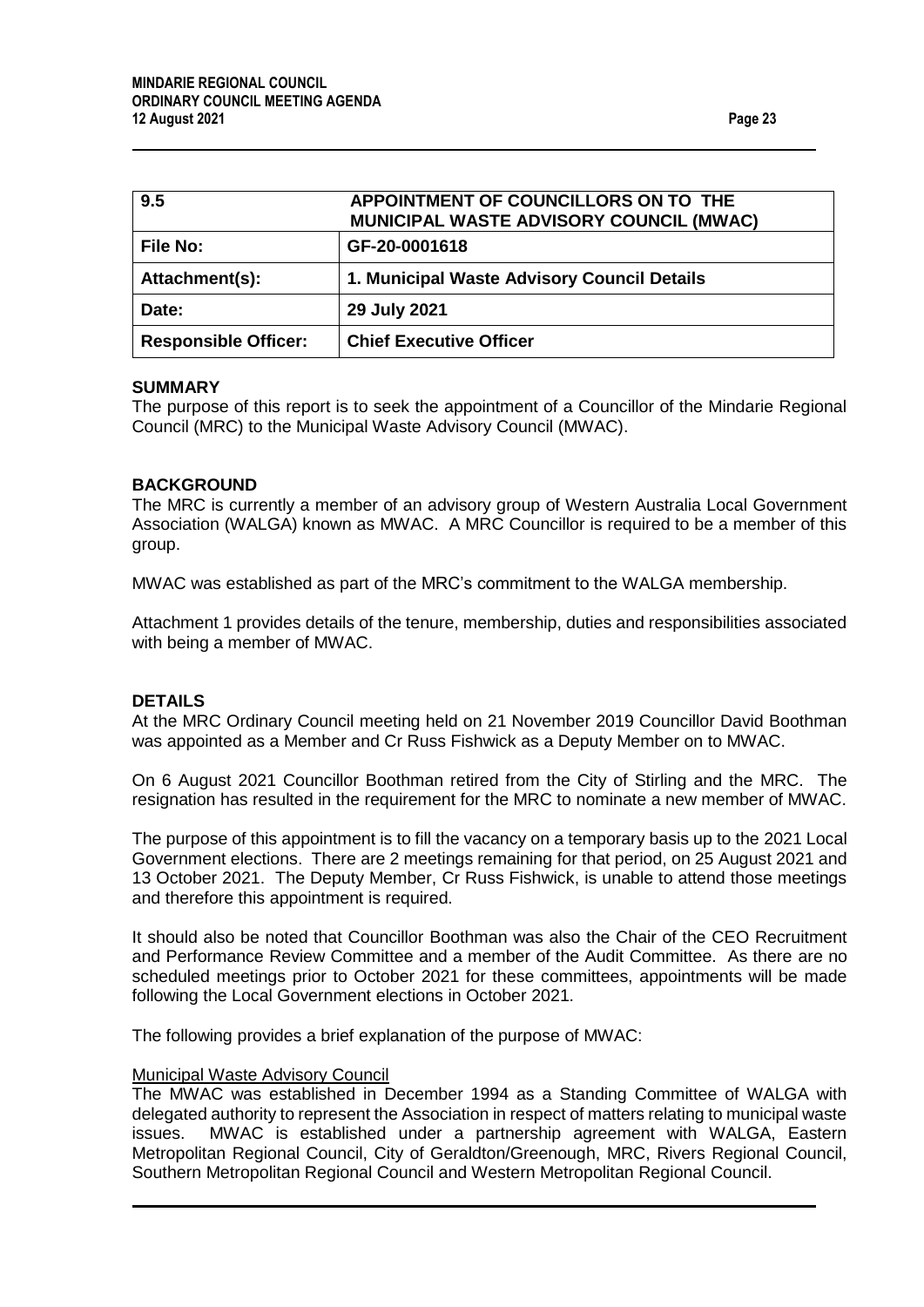<span id="page-22-0"></span>

| 9.5                         | APPOINTMENT OF COUNCILLORS ON TO THE<br><b>MUNICIPAL WASTE ADVISORY COUNCIL (MWAC)</b> |
|-----------------------------|----------------------------------------------------------------------------------------|
| <b>File No:</b>             | GF-20-0001618                                                                          |
| Attachment(s):              | 1. Municipal Waste Advisory Council Details                                            |
| Date:                       | 29 July 2021                                                                           |
| <b>Responsible Officer:</b> | <b>Chief Executive Officer</b>                                                         |

#### **SUMMARY**

The purpose of this report is to seek the appointment of a Councillor of the Mindarie Regional Council (MRC) to the Municipal Waste Advisory Council (MWAC).

#### **BACKGROUND**

The MRC is currently a member of an advisory group of Western Australia Local Government Association (WALGA) known as MWAC. A MRC Councillor is required to be a member of this group.

MWAC was established as part of the MRC's commitment to the WALGA membership.

Attachment 1 provides details of the tenure, membership, duties and responsibilities associated with being a member of MWAC.

#### **DETAILS**

At the MRC Ordinary Council meeting held on 21 November 2019 Councillor David Boothman was appointed as a Member and Cr Russ Fishwick as a Deputy Member on to MWAC.

On 6 August 2021 Councillor Boothman retired from the City of Stirling and the MRC. The resignation has resulted in the requirement for the MRC to nominate a new member of MWAC.

The purpose of this appointment is to fill the vacancy on a temporary basis up to the 2021 Local Government elections. There are 2 meetings remaining for that period, on 25 August 2021 and 13 October 2021. The Deputy Member, Cr Russ Fishwick, is unable to attend those meetings and therefore this appointment is required.

It should also be noted that Councillor Boothman was also the Chair of the CEO Recruitment and Performance Review Committee and a member of the Audit Committee. As there are no scheduled meetings prior to October 2021 for these committees, appointments will be made following the Local Government elections in October 2021.

The following provides a brief explanation of the purpose of MWAC:

#### Municipal Waste Advisory Council

The MWAC was established in December 1994 as a Standing Committee of WALGA with delegated authority to represent the Association in respect of matters relating to municipal waste issues. MWAC is established under a partnership agreement with WALGA, Eastern Metropolitan Regional Council, City of Geraldton/Greenough, MRC, Rivers Regional Council, Southern Metropolitan Regional Council and Western Metropolitan Regional Council.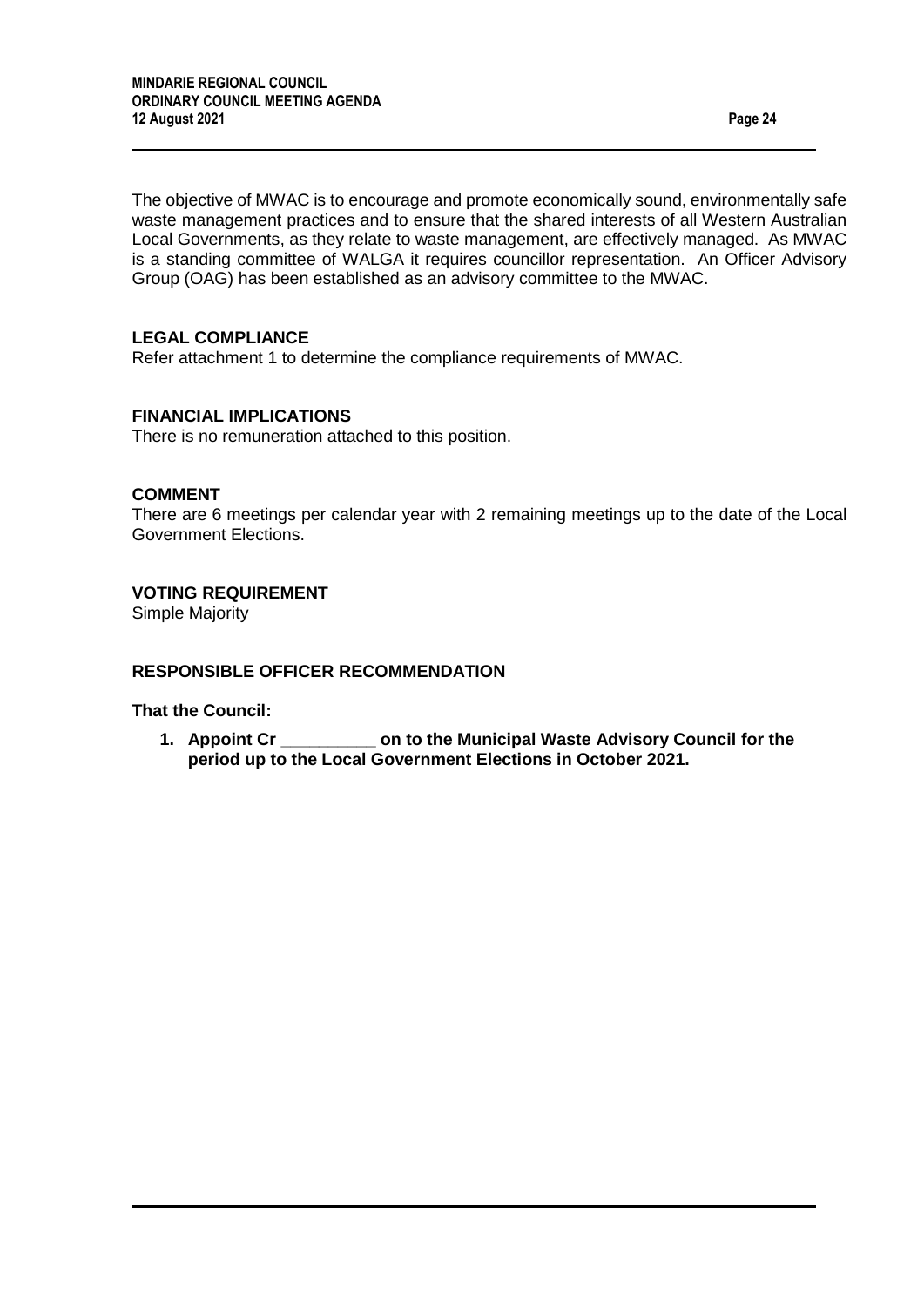The objective of MWAC is to encourage and promote economically sound, environmentally safe waste management practices and to ensure that the shared interests of all Western Australian Local Governments, as they relate to waste management, are effectively managed. As MWAC is a standing committee of WALGA it requires councillor representation. An Officer Advisory Group (OAG) has been established as an advisory committee to the MWAC.

#### **LEGAL COMPLIANCE**

Refer attachment 1 to determine the compliance requirements of MWAC.

#### **FINANCIAL IMPLICATIONS**

There is no remuneration attached to this position.

#### **COMMENT**

There are 6 meetings per calendar year with 2 remaining meetings up to the date of the Local Government Elections.

#### **VOTING REQUIREMENT**

Simple Majority

#### **RESPONSIBLE OFFICER RECOMMENDATION**

**That the Council:**

**1. Appoint Cr \_\_\_\_\_\_\_\_\_\_ on to the Municipal Waste Advisory Council for the period up to the Local Government Elections in October 2021.**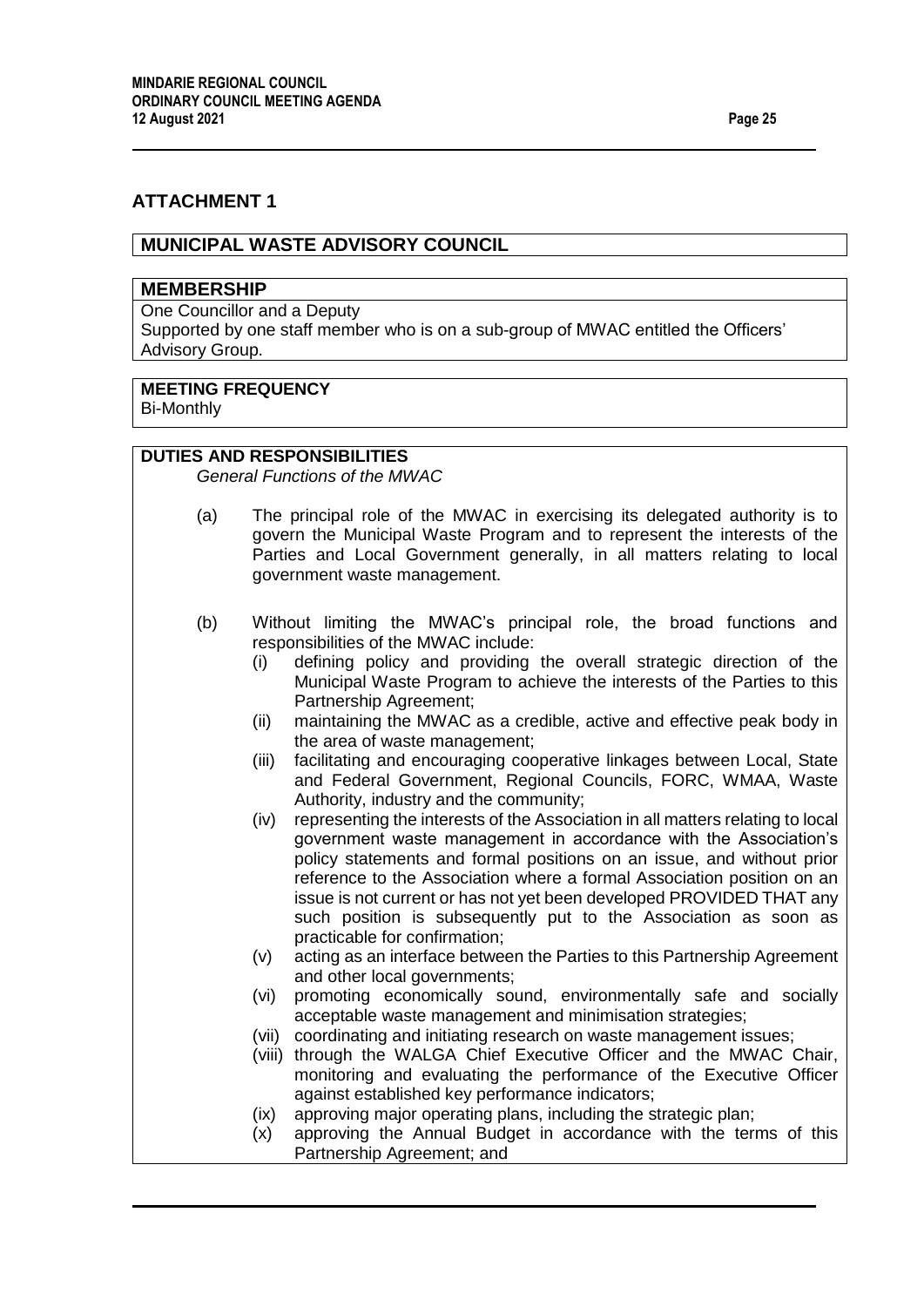# **ATTACHMENT 1**

### **MUNICIPAL WASTE ADVISORY COUNCIL**

#### **MEMBERSHIP**

One Councillor and a Deputy

Supported by one staff member who is on a sub-group of MWAC entitled the Officers' Advisory Group.

# **MEETING FREQUENCY**

Bi-Monthly

#### **DUTIES AND RESPONSIBILITIES**

*General Functions of the MWAC*

- (a) The principal role of the MWAC in exercising its delegated authority is to govern the Municipal Waste Program and to represent the interests of the Parties and Local Government generally, in all matters relating to local government waste management.
- (b) Without limiting the MWAC's principal role, the broad functions and responsibilities of the MWAC include:
	- (i) defining policy and providing the overall strategic direction of the Municipal Waste Program to achieve the interests of the Parties to this Partnership Agreement;
	- (ii) maintaining the MWAC as a credible, active and effective peak body in the area of waste management;
	- (iii) facilitating and encouraging cooperative linkages between Local, State and Federal Government, Regional Councils, FORC, WMAA, Waste Authority, industry and the community;
	- (iv) representing the interests of the Association in all matters relating to local government waste management in accordance with the Association's policy statements and formal positions on an issue, and without prior reference to the Association where a formal Association position on an issue is not current or has not yet been developed PROVIDED THAT any such position is subsequently put to the Association as soon as practicable for confirmation;
	- (v) acting as an interface between the Parties to this Partnership Agreement and other local governments;
	- (vi) promoting economically sound, environmentally safe and socially acceptable waste management and minimisation strategies;
	- (vii) coordinating and initiating research on waste management issues;
	- (viii) through the WALGA Chief Executive Officer and the MWAC Chair, monitoring and evaluating the performance of the Executive Officer against established key performance indicators;
	- (ix) approving major operating plans, including the strategic plan;
	- (x) approving the Annual Budget in accordance with the terms of this Partnership Agreement; and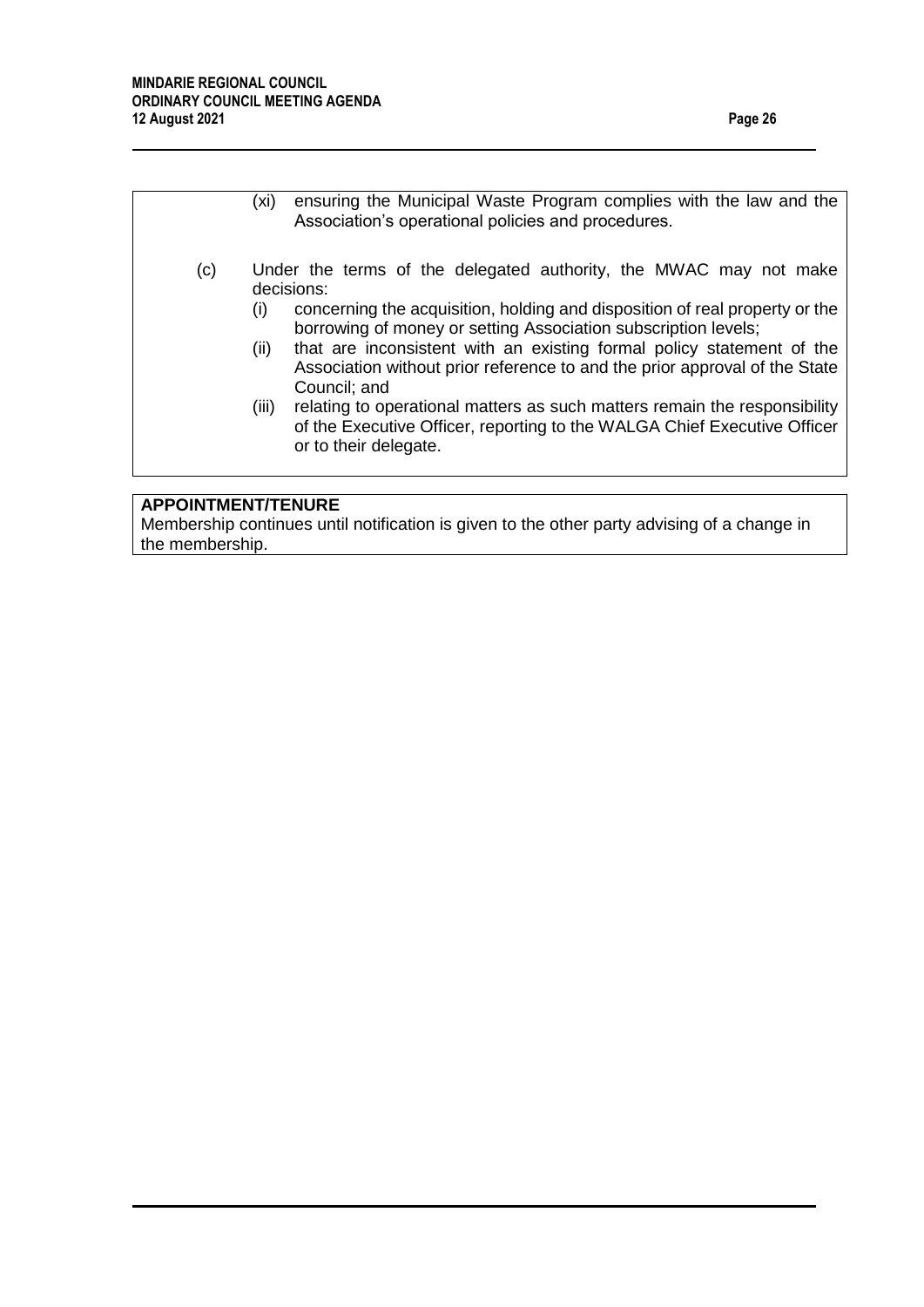|     | ensuring the Municipal Waste Program complies with the law and the<br>(xi)<br>Association's operational policies and procedures.                                                                                                                                                                                                                                                                                                                                                                                                                                                                                  |
|-----|-------------------------------------------------------------------------------------------------------------------------------------------------------------------------------------------------------------------------------------------------------------------------------------------------------------------------------------------------------------------------------------------------------------------------------------------------------------------------------------------------------------------------------------------------------------------------------------------------------------------|
| (c) | Under the terms of the delegated authority, the MWAC may not make<br>decisions:<br>concerning the acquisition, holding and disposition of real property or the<br>(i)<br>borrowing of money or setting Association subscription levels;<br>that are inconsistent with an existing formal policy statement of the<br>(ii)<br>Association without prior reference to and the prior approval of the State<br>Council; and<br>relating to operational matters as such matters remain the responsibility<br>(iii)<br>of the Executive Officer, reporting to the WALGA Chief Executive Officer<br>or to their delegate. |

# **APPOINTMENT/TENURE**

Membership continues until notification is given to the other party advising of a change in the membership.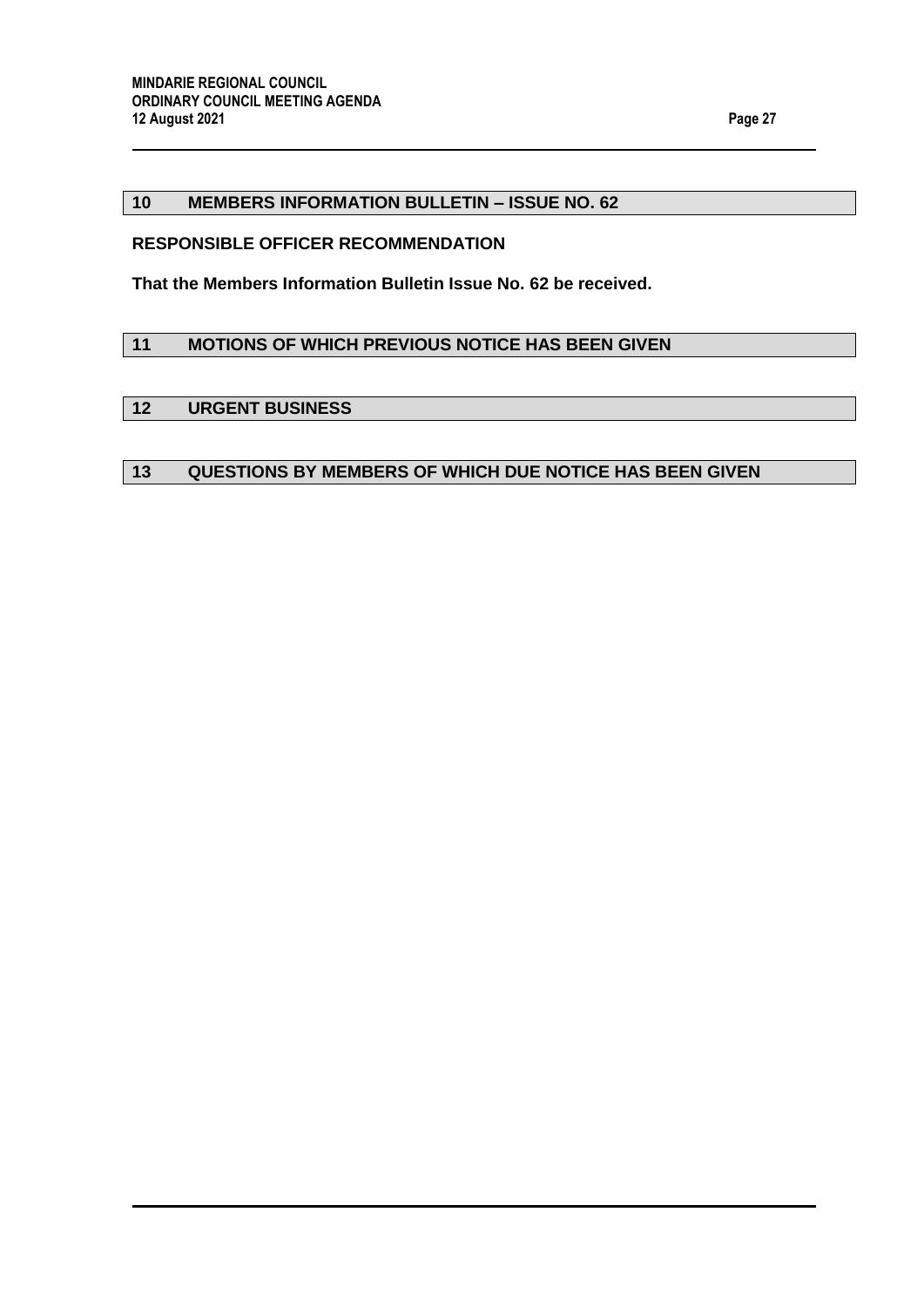### <span id="page-26-0"></span>**10 MEMBERS INFORMATION BULLETIN – ISSUE NO. 62**

#### **RESPONSIBLE OFFICER RECOMMENDATION**

**That the Members Information Bulletin Issue No. 62 be received.**

### <span id="page-26-1"></span>**11 MOTIONS OF WHICH PREVIOUS NOTICE HAS BEEN GIVEN**

# <span id="page-26-2"></span>**12 URGENT BUSINESS**

# <span id="page-26-3"></span>**13 QUESTIONS BY MEMBERS OF WHICH DUE NOTICE HAS BEEN GIVEN**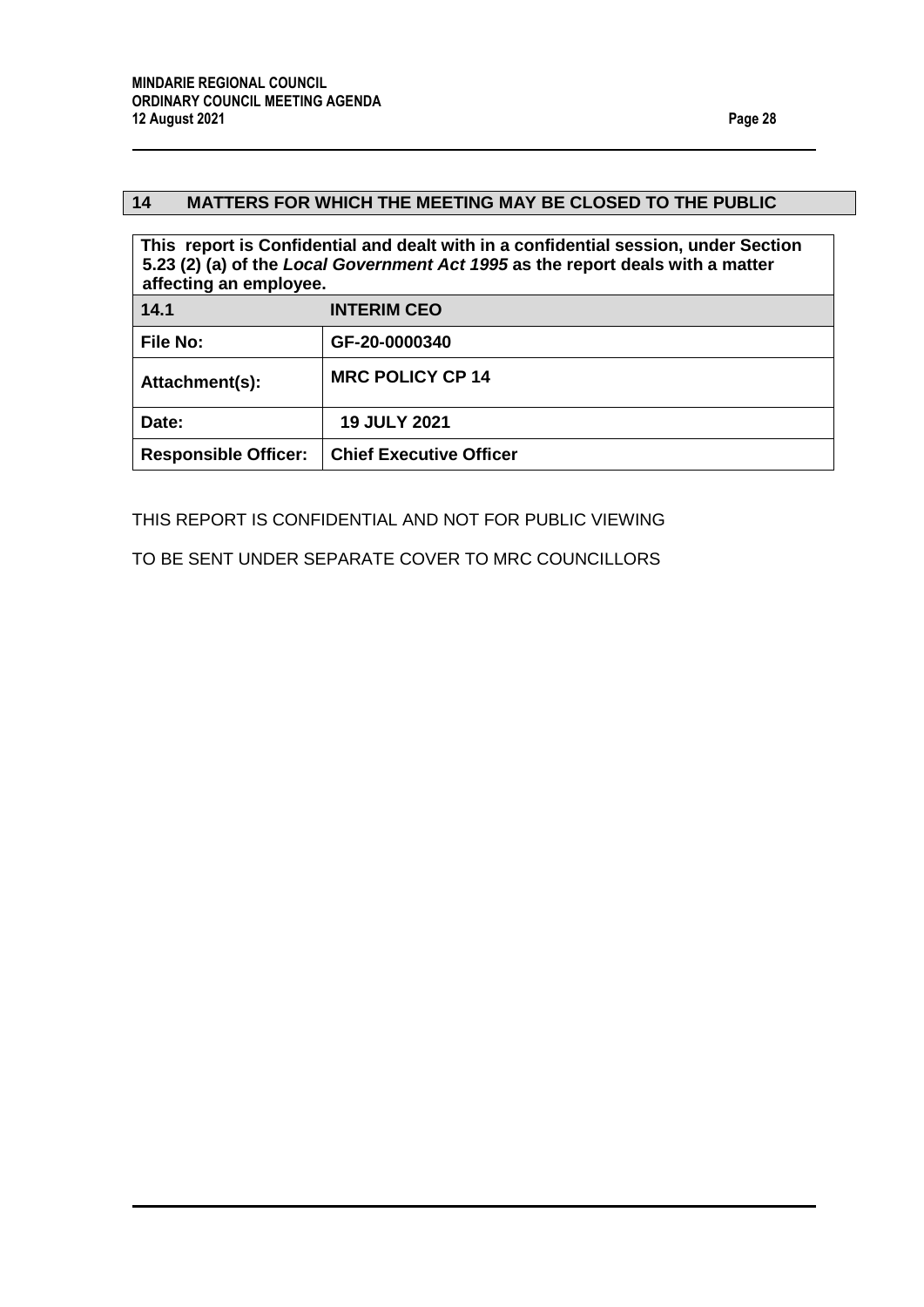# <span id="page-27-0"></span>**14 MATTERS FOR WHICH THE MEETING MAY BE CLOSED TO THE PUBLIC**

<span id="page-27-1"></span>

| This report is Confidential and dealt with in a confidential session, under Section<br>5.23 (2) (a) of the Local Government Act 1995 as the report deals with a matter<br>affecting an employee. |                                |  |  |
|--------------------------------------------------------------------------------------------------------------------------------------------------------------------------------------------------|--------------------------------|--|--|
| 14.1                                                                                                                                                                                             | <b>INTERIM CEO</b>             |  |  |
| <b>File No:</b>                                                                                                                                                                                  | GF-20-0000340                  |  |  |
| Attachment(s):                                                                                                                                                                                   | <b>MRC POLICY CP 14</b>        |  |  |
| Date:                                                                                                                                                                                            | <b>19 JULY 2021</b>            |  |  |
| <b>Responsible Officer:</b>                                                                                                                                                                      | <b>Chief Executive Officer</b> |  |  |

THIS REPORT IS CONFIDENTIAL AND NOT FOR PUBLIC VIEWING

TO BE SENT UNDER SEPARATE COVER TO MRC COUNCILLORS